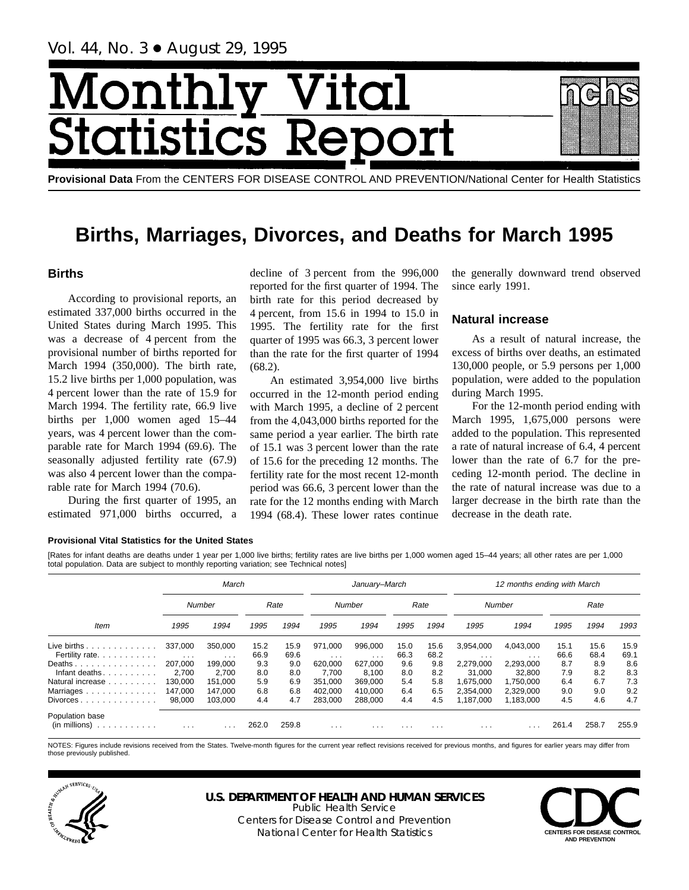# Month Vital tics R tatist

**Provisional Data** From the CENTERS FOR DISEASE CONTROL AND PREVENTION/National Center for Health Statistics

# **Births, Marriages, Divorces, and Deaths for March 1995**

# **Births**

According to provisional reports, an estimated 337,000 births occurred in the United States during March 1995. This was a decrease of 4 percent from the provisional number of births reported for March 1994 (350,000). The birth rate, 15.2 live births per 1,000 population, was 4 percent lower than the rate of 15.9 for March 1994. The fertility rate, 66.9 live births per 1,000 women aged 15–44 years, was 4 percent lower than the comparable rate for March 1994 (69.6). The seasonally adjusted fertility rate (67.9) was also 4 percent lower than the comparable rate for March 1994 (70.6).

During the first quarter of 1995, an estimated 971,000 births occurred, a

decline of 3 percent from the 996,000 reported for the first quarter of 1994. The birth rate for this period decreased by 4 percent, from 15.6 in 1994 to 15.0 in 1995. The fertility rate for the first quarter of 1995 was 66.3, 3 percent lower than the rate for the first quarter of 1994 (68.2).

An estimated 3,954,000 live births occurred in the 12-month period ending with March 1995, a decline of 2 percent from the 4,043,000 births reported for the same period a year earlier. The birth rate of 15.1 was 3 percent lower than the rate of 15.6 for the preceding 12 months. The fertility rate for the most recent 12-month period was 66.6, 3 percent lower than the rate for the 12 months ending with March 1994 (68.4). These lower rates continue

the generally downward trend observed since early 1991.

# **Natural increase**

As a result of natural increase, the excess of births over deaths, an estimated 130,000 people, or 5.9 persons per 1,000 population, were added to the population during March 1995.

For the 12-month period ending with March 1995, 1,675,000 persons were added to the population. This represented a rate of natural increase of 6.4, 4 percent lower than the rate of 6.7 for the preceding 12-month period. The decline in the rate of natural increase was due to a larger decrease in the birth rate than the decrease in the death rate.

### **Provisional Vital Statistics for the United States**

[Rates for infant deaths are deaths under 1 year per 1,000 live births; fertility rates are live births per 1,000 women aged 15–44 years; all other rates are per 1,000 total population. Data are subject to monthly reporting variation; see Technical notes]

|                                                              |                                 | March               |              |              |                                    | January-March       |              |              |                         | 12 months ending with March |              |              |              |
|--------------------------------------------------------------|---------------------------------|---------------------|--------------|--------------|------------------------------------|---------------------|--------------|--------------|-------------------------|-----------------------------|--------------|--------------|--------------|
|                                                              |                                 | Number              |              | Rate         |                                    | <b>Number</b>       |              | Rate         |                         | Number                      |              | Rate         |              |
| Item                                                         | 1995                            | 1994                | 1995         | 1994         | 1995                               | 1994                | 1995         | 1994         | 1995                    | 1994                        | 1995         | 1994         | 1993         |
| Live births<br>Fertility rate.                               | 337.000<br>$\sim$ $\sim$ $\sim$ | 350.000<br>$\cdots$ | 15.2<br>66.9 | 15.9<br>69.6 | 971.000<br>$\cdot$ $\cdot$ $\cdot$ | 996.000<br>$\cdots$ | 15.0<br>66.3 | 15.6<br>68.2 | 3.954.000<br>$\cdots$   | 4.043.000<br>$\cdots$       | 15.1<br>66.6 | 15.6<br>68.4 | 15.9<br>69.1 |
| Deaths<br>Infant deaths.<br>.                                | 207.000<br>2.700                | 199.000<br>2.700    | 9.3<br>8.0   | 9.0<br>8.0   | 620,000<br>7.700                   | 627,000<br>8.100    | 9.6<br>8.0   | 9.8<br>8.2   | 2,279,000<br>31.000     | 2,293,000<br>32.800         | 8.7<br>7.9   | 8.9<br>8.2   | 8.6<br>8.3   |
| Natural increase<br>Marriages                                | 130.000<br>147,000              | 151.000<br>147.000  | 5.9<br>6.8   | 6.9<br>6.8   | 351.000<br>402.000                 | 369.000<br>410.000  | 5.4<br>6.4   | 5.8<br>6.5   | 1.675.000<br>2.354.000  | 1.750.000<br>2.329.000      | 6.4<br>9.0   | 6.7<br>9.0   | 7.3<br>9.2   |
| $Divorces \ldots \ldots \ldots \ldots$                       | 98,000                          | 103.000             | 4.4          | 4.7          | 283.000                            | 288,000             | 4.4          | 4.5          | 1.187.000               | 1.183.000                   | 4.5          | 4.6          | 4.7          |
| Population base<br>$(in \text{ millions}) \dots \dots \dots$ | $\cdots$                        | $\cdots$            | 262.0        | 259.8        | $\cdots$                           | $\cdots$            | $\cdots$     | $\cdots$     | $\cdot$ $\cdot$ $\cdot$ |                             | 261.4        | 258.7        | 255.9        |

NOTES: Figures include revisions received from the States. Twelve-month figures for the current year reflect revisions received for previous months, and figures for earlier years may differ from those previously published.



# **U.S. DEPARTMENT OF HEALTH AND HUMAN SERVICES**

Public Health Service Centers for Disease Control and Prevention National Center for Health Statistics **CENTERS FOR DISEASE CONTROL** 

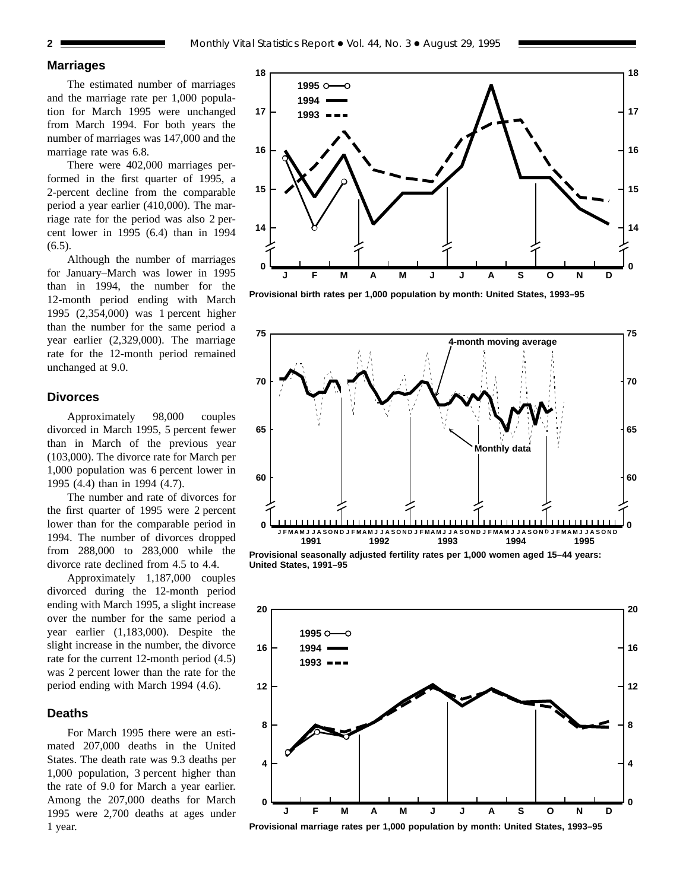**2** Monthly Vital Statistics Report • Vol. 44, No. 3 • August 29, 1995

### **Marriages**

The estimated number of marriages and the marriage rate per 1,000 population for March 1995 were unchanged from March 1994. For both years the number of marriages was 147,000 and the marriage rate was 6.8.

There were 402,000 marriages performed in the first quarter of 1995, a 2-percent decline from the comparable period a year earlier (410,000). The marriage rate for the period was also 2 percent lower in 1995 (6.4) than in 1994 (6.5).

Although the number of marriages for January–March was lower in 1995 than in 1994, the number for the 12-month period ending with March 1995 (2,354,000) was 1 percent higher than the number for the same period a year earlier (2,329,000). The marriage rate for the 12-month period remained unchanged at 9.0.

## **Divorces**

Approximately 98,000 couples divorced in March 1995, 5 percent fewer than in March of the previous year (103,000). The divorce rate for March per 1,000 population was 6 percent lower in 1995 (4.4) than in 1994 (4.7).

The number and rate of divorces for the first quarter of 1995 were 2 percent lower than for the comparable period in 1994. The number of divorces dropped from 288,000 to 283,000 while the divorce rate declined from 4.5 to 4.4.

Approximately 1,187,000 couples divorced during the 12-month period ending with March 1995, a slight increase over the number for the same period a year earlier (1,183,000). Despite the slight increase in the number, the divorce rate for the current 12-month period (4.5) was 2 percent lower than the rate for the period ending with March 1994 (4.6).

## **Deaths**

For March 1995 there were an estimated 207,000 deaths in the United States. The death rate was 9.3 deaths per 1,000 population, 3 percent higher than the rate of 9.0 for March a year earlier. Among the 207,000 deaths for March 1995 were 2,700 deaths at ages under 1 year.



**0**

**14**

**15**

**16**

**17**

**18**

**Provisional birth rates per 1,000 population by month: United States, 1993–95**



**Provisional seasonally adjusted fertility rates per 1,000 women aged 15–44 years: United States, 1991–95**



**Provisional marriage rates per 1,000 population by month: United States, 1993–95**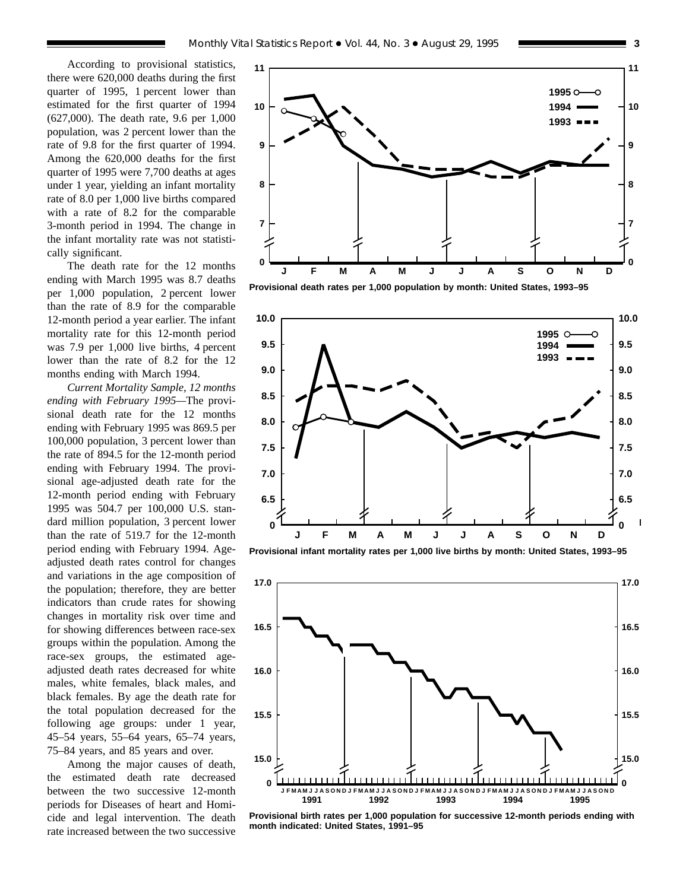According to provisional statistics, there were 620,000 deaths during the first quarter of 1995, 1 percent lower than estimated for the first quarter of 1994 (627,000). The death rate, 9.6 per 1,000 population, was 2 percent lower than the rate of 9.8 for the first quarter of 1994. Among the 620,000 deaths for the first quarter of 1995 were 7,700 deaths at ages under 1 year, yielding an infant mortality rate of 8.0 per 1,000 live births compared with a rate of 8.2 for the comparable 3-month period in 1994. The change in the infant mortality rate was not statistically significant.

The death rate for the 12 months ending with March 1995 was 8.7 deaths per 1,000 population, 2 percent lower than the rate of 8.9 for the comparable 12-month period a year earlier. The infant mortality rate for this 12-month period was 7.9 per 1,000 live births, 4 percent lower than the rate of 8.2 for the 12 months ending with March 1994.

*Current Mortality Sample, 12 months ending with February 1995—*The provisional death rate for the 12 months ending with February 1995 was 869.5 per 100,000 population, 3 percent lower than the rate of 894.5 for the 12-month period ending with February 1994. The provisional age-adjusted death rate for the 12-month period ending with February 1995 was 504.7 per 100,000 U.S. standard million population, 3 percent lower than the rate of 519.7 for the 12-month period ending with February 1994. Ageadjusted death rates control for changes and variations in the age composition of the population; therefore, they are better indicators than crude rates for showing changes in mortality risk over time and for showing differences between race-sex groups within the population. Among the race-sex groups, the estimated ageadjusted death rates decreased for white males, white females, black males, and black females. By age the death rate for the total population decreased for the following age groups: under 1 year, 45–54 years, 55–64 years, 65–74 years, 75–84 years, and 85 years and over.

Among the major causes of death, the estimated death rate decreased between the two successive 12-month periods for Diseases of heart and Homicide and legal intervention. The death rate increased between the two successive



**Provisional death rates per 1,000 population by month: United States, 1993–95**



**Provisional infant mortality rates per 1,000 live births by month: United States, 1993–95**



**Provisional birth rates per 1,000 population for successive 12-month periods ending with month indicated: United States, 1991–95**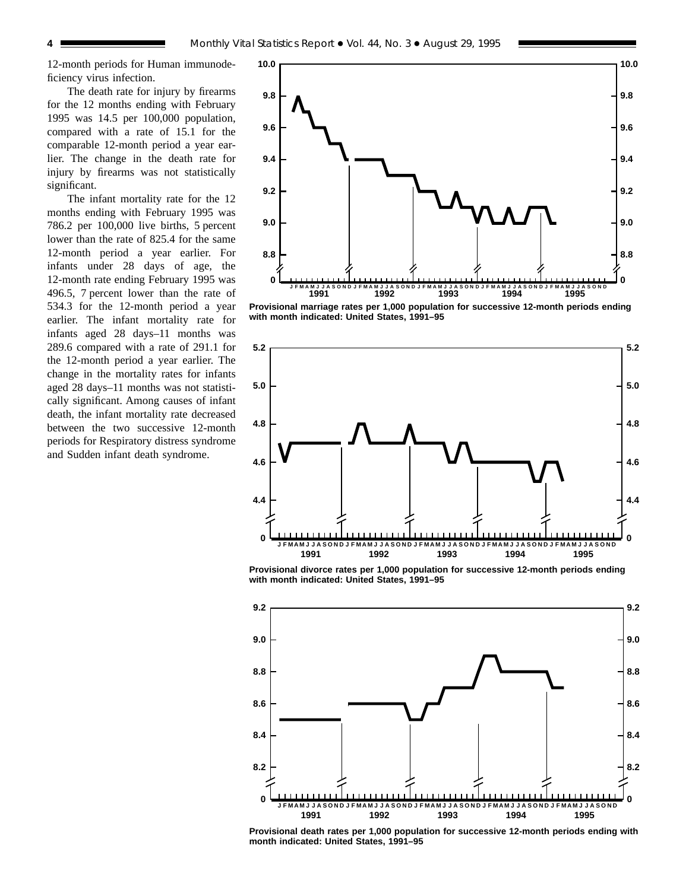12-month periods for Human immunodeficiency virus infection.

The death rate for injury by firearms for the 12 months ending with February 1995 was 14.5 per 100,000 population, compared with a rate of 15.1 for the comparable 12-month period a year earlier. The change in the death rate for injury by firearms was not statistically significant.

The infant mortality rate for the 12 months ending with February 1995 was 786.2 per 100,000 live births, 5 percent lower than the rate of 825.4 for the same 12-month period a year earlier. For infants under 28 days of age, the 12-month rate ending February 1995 was 496.5, 7 percent lower than the rate of 534.3 for the 12-month period a year earlier. The infant mortality rate for infants aged 28 days–11 months was 289.6 compared with a rate of 291.1 for the 12-month period a year earlier. The change in the mortality rates for infants aged 28 days–11 months was not statistically significant. Among causes of infant death, the infant mortality rate decreased between the two successive 12-month periods for Respiratory distress syndrome and Sudden infant death syndrome.



**Provisional marriage rates per 1,000 population for successive 12-month periods ending with month indicated: United States, 1991–95**



**Provisional divorce rates per 1,000 population for successive 12-month periods ending with month indicated: United States, 1991–95**



**Provisional death rates per 1,000 population for successive 12-month periods ending with month indicated: United States, 1991–95**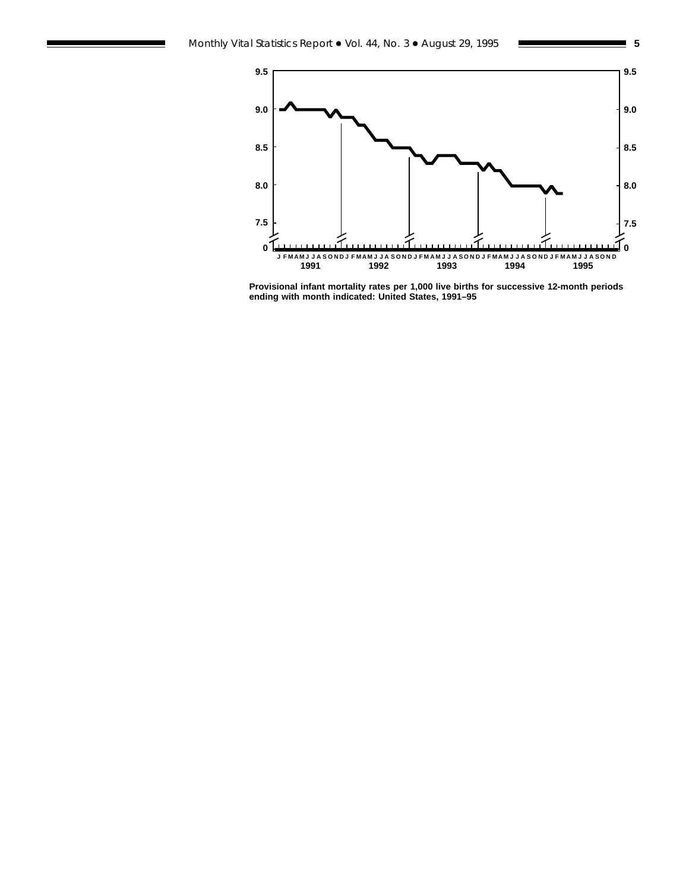

**Provisional infant mortality rates per 1,000 live births for successive 12-month periods ending with month indicated: United States, 1991–95**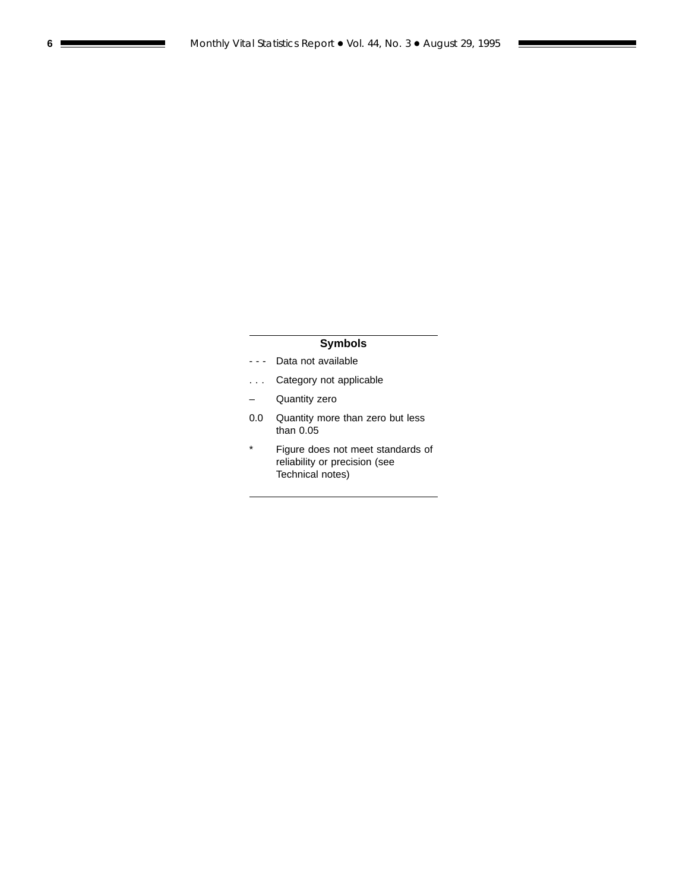# **Symbols**

- - Data not available
- . . . Category not applicable
- Quantity zero
- 0.0 Quantity more than zero but less than 0.05
- \* Figure does not meet standards of reliability or precision (see Technical notes)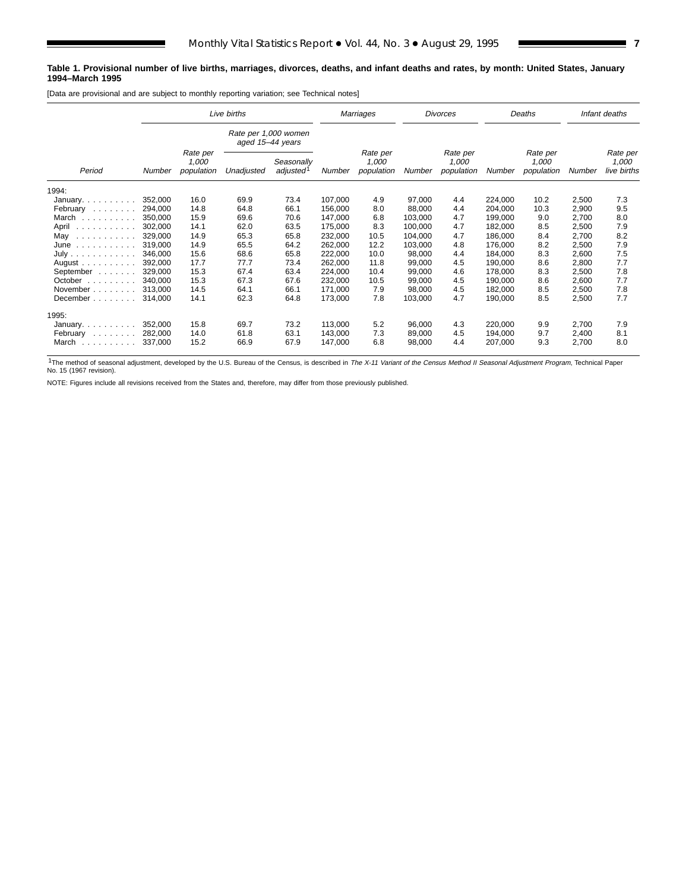#### **Table 1. Provisional number of live births, marriages, divorces, deaths, and infant deaths and rates, by month: United States, January 1994–March 1995**

[Data are provisional and are subject to monthly reporting variation; see Technical notes]

|                            | Live births |                                 |                                          | Marriages                           |         | Divorces                        |         |                                 | Deaths  |                                 | Infant deaths |                                  |
|----------------------------|-------------|---------------------------------|------------------------------------------|-------------------------------------|---------|---------------------------------|---------|---------------------------------|---------|---------------------------------|---------------|----------------------------------|
|                            |             |                                 | Rate per 1,000 women<br>aged 15-44 years |                                     |         |                                 |         |                                 |         |                                 |               |                                  |
| Period                     | Number      | Rate per<br>1,000<br>population | Unadjusted                               | Seasonally<br>adjusted <sup>1</sup> | Number  | Rate per<br>1,000<br>population | Number  | Rate per<br>1,000<br>population | Number  | Rate per<br>1,000<br>population | Number        | Rate per<br>1,000<br>live births |
| 1994:                      |             |                                 |                                          |                                     |         |                                 |         |                                 |         |                                 |               |                                  |
| January                    | 352,000     | 16.0                            | 69.9                                     | 73.4                                | 107,000 | 4.9                             | 97,000  | 4.4                             | 224,000 | 10.2                            | 2,500         | 7.3                              |
| February                   | 294,000     | 14.8                            | 64.8                                     | 66.1                                | 156,000 | 8.0                             | 88,000  | 4.4                             | 204,000 | 10.3                            | 2,900         | 9.5                              |
| March                      | 350.000     | 15.9                            | 69.6                                     | 70.6                                | 147,000 | 6.8                             | 103,000 | 4.7                             | 199,000 | 9.0                             | 2,700         | 8.0                              |
| April<br>.                 | 302,000     | 14.1                            | 62.0                                     | 63.5                                | 175,000 | 8.3                             | 100,000 | 4.7                             | 182,000 | 8.5                             | 2,500         | 7.9                              |
| May<br>.                   | 329,000     | 14.9                            | 65.3                                     | 65.8                                | 232,000 | 10.5                            | 104,000 | 4.7                             | 186,000 | 8.4                             | 2,700         | 8.2                              |
| June                       | 319.000     | 14.9                            | 65.5                                     | 64.2                                | 262,000 | 12.2                            | 103,000 | 4.8                             | 176,000 | 8.2                             | 2,500         | 7.9                              |
| July                       | 346,000     | 15.6                            | 68.6                                     | 65.8                                | 222,000 | 10.0                            | 98,000  | 4.4                             | 184,000 | 8.3                             | 2,600         | 7.5                              |
| August $\ldots$ , $\ldots$ | 392,000     | 17.7                            | 77.7                                     | 73.4                                | 262,000 | 11.8                            | 99,000  | 4.5                             | 190,000 | 8.6                             | 2,800         | 7.7                              |
| September                  | 329.000     | 15.3                            | 67.4                                     | 63.4                                | 224,000 | 10.4                            | 99,000  | 4.6                             | 178,000 | 8.3                             | 2,500         | 7.8                              |
| October                    | 340.000     | 15.3                            | 67.3                                     | 67.6                                | 232,000 | 10.5                            | 99,000  | 4.5                             | 190,000 | 8.6                             | 2,600         | 7.7                              |
| November                   | 313.000     | 14.5                            | 64.1                                     | 66.1                                | 171,000 | 7.9                             | 98,000  | 4.5                             | 182,000 | 8.5                             | 2,500         | 7.8                              |
| December                   | 314,000     | 14.1                            | 62.3                                     | 64.8                                | 173,000 | 7.8                             | 103,000 | 4.7                             | 190,000 | 8.5                             | 2,500         | 7.7                              |
| 1995:                      |             |                                 |                                          |                                     |         |                                 |         |                                 |         |                                 |               |                                  |
| January. $\ldots$          | 352,000     | 15.8                            | 69.7                                     | 73.2                                | 113,000 | 5.2                             | 96,000  | 4.3                             | 220,000 | 9.9                             | 2,700         | 7.9                              |
| February                   | 282,000     | 14.0                            | 61.8                                     | 63.1                                | 143,000 | 7.3                             | 89,000  | 4.5                             | 194,000 | 9.7                             | 2,400         | 8.1                              |
| March<br>.                 | 337,000     | 15.2                            | 66.9                                     | 67.9                                | 147,000 | 6.8                             | 98,000  | 4.4                             | 207,000 | 9.3                             | 2,700         | 8.0                              |

<sup>1</sup>The method of seasonal adjustment, developed by the U.S. Bureau of the Census, is described in The X-11 Variant of the Census Method II Seasonal Adjustment Program, Technical Paper No. 15 (1967 revision).

NOTE: Figures include all revisions received from the States and, therefore, may differ from those previously published.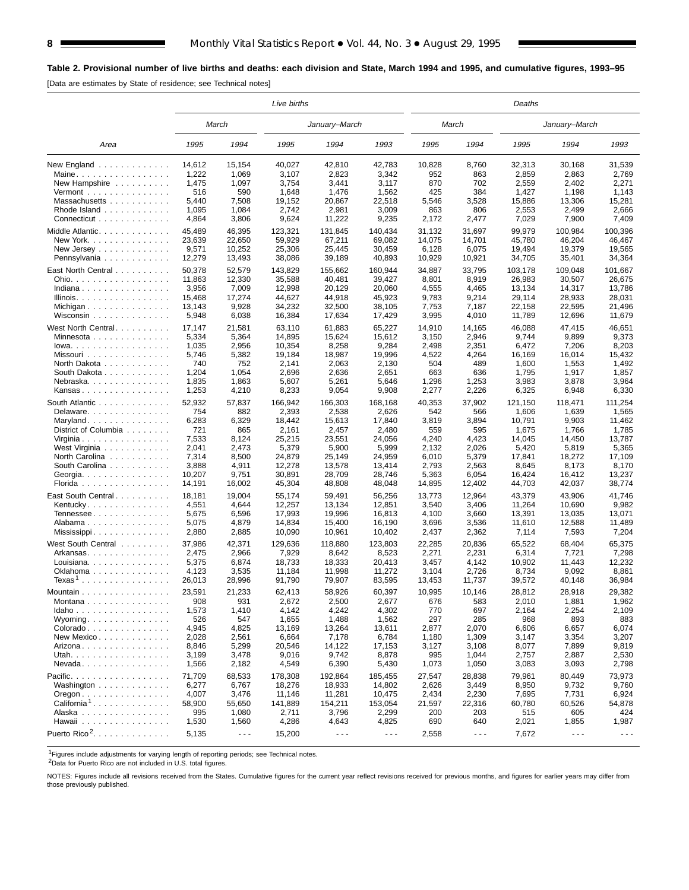# **Table 2. Provisional number of live births and deaths: each division and State, March 1994 and 1995, and cumulative figures, 1993–95**

[Data are estimates by State of residence; see Technical notes]

|                                                     |                 |                      | Live births     |                      |                      |               |                      | Deaths          | January–March        |                      |  |  |  |
|-----------------------------------------------------|-----------------|----------------------|-----------------|----------------------|----------------------|---------------|----------------------|-----------------|----------------------|----------------------|--|--|--|
|                                                     |                 | March                |                 | January–March        |                      |               | March                |                 |                      |                      |  |  |  |
| Area                                                | 1995            | 1994                 | 1995            | 1994                 | 1993                 | 1995          | 1994                 | 1995            | 1994                 | 1993                 |  |  |  |
| New England<br>Maine                                | 14,612<br>1,222 | 15,154<br>1,069      | 40,027<br>3,107 | 42,810<br>2,823      | 42,783<br>3,342      | 10,828<br>952 | 8,760<br>863         | 32,313<br>2,859 | 30,168<br>2,863      | 31,539<br>2,769      |  |  |  |
| New Hampshire                                       | 1,475           | 1,097                | 3,754           | 3,441                | 3,117                | 870           | 702                  | 2,559           | 2,402                | 2,271                |  |  |  |
| Vermont $\dots\dots\dots\dots\dots\dots$            | 516             | 590                  | 1,648           | 1,476                | 1,562                | 425           | 384                  | 1,427           | 1,198                | 1,143                |  |  |  |
| Massachusetts                                       | 5,440           | 7,508                | 19,152          | 20,867               | 22,518               | 5,546         | 3,528                | 15,886          | 13,306               | 15,281               |  |  |  |
| Rhode Island $\ldots$ ,                             | 1,095           | 1,084                | 2,742           | 2,981                | 3,009                | 863           | 806                  | 2,553           | 2,499                | 2,666                |  |  |  |
| Connecticut                                         | 4,864           | 3,806                | 9,624           | 11,222               | 9,235                | 2,172         | 2,477                | 7,029           | 7,900                | 7,409                |  |  |  |
| Middle Atlantic.                                    | 45,489          | 46,395               | 123,321         | 131,845              | 140,434              | 31,132        | 31,697               | 99,979          | 100,984              | 100,396              |  |  |  |
| New York. $\ldots$ , $\ldots$ , $\ldots$ , $\ldots$ | 23,639          | 22,650               | 59,929          | 67,211               | 69,082               | 14,075        | 14,701               | 45,780          | 46,204               | 46,467               |  |  |  |
|                                                     | 9,571           | 10,252               | 25,306          | 25,445               | 30,459               | 6,128         | 6,075                | 19,494          | 19,379               | 19,565               |  |  |  |
| New Jersey $\ldots$<br>Pennsylvania                 | 12,279          | 13,493               | 38,086          | 39,189               | 40,893               | 10,929        | 10,921               | 34,705          | 35,401               | 34,364               |  |  |  |
|                                                     |                 |                      |                 |                      |                      |               |                      |                 |                      |                      |  |  |  |
| East North Central                                  | 50,378          | 52,579               | 143,829         | 155,662              | 160,944              | 34,887        | 33,795               | 103,178         | 109,048              | 101,667              |  |  |  |
| Ohio.                                               | 11,863          | 12,330               | 35,588          | 40,481               | 39,427               | 8,801         | 8,919                | 26,983          | 30,507               | 26,675               |  |  |  |
| Indiana                                             | 3,956           | 7,009                | 12,998          | 20,129               | 20,060               | 4,555         | 4,465                | 13,134          | 14,317               | 13,786               |  |  |  |
| Illinois.                                           | 15,468          | 17,274               | 44,627          | 44,918               | 45,923               | 9,783         | 9,214                | 29,114          | 28,933               | 28,031               |  |  |  |
| Michigan                                            | 13,143          | 9,928                | 34,232          | 32,500               | 38,105               | 7,753         | 7,187                | 22,158          | 22,595               | 21,496               |  |  |  |
| Wisconsin                                           | 5,948           | 6,038                | 16,384          | 17,634               | 17,429               | 3,995         | 4,010                | 11,789          | 12,696               | 11,679               |  |  |  |
| West North Central                                  | 17,147          | 21,581               | 63,110          | 61,883               | 65,227               | 14,910        | 14,165               | 46,088          | 47,415               | 46,651               |  |  |  |
| Minnesota                                           | 5,334           | 5,364                | 14,895          | 15,624               | 15,612               | 3,150         | 2,946                | 9,744           | 9,899                | 9,373                |  |  |  |
| $lowa.$                                             | 1,035           | 2,956                | 10,354          | 8,258                | 9,284                | 2,498         | 2,351                | 6,472           | 7,206                | 8,203                |  |  |  |
| Missouri                                            | 5,746           | 5,382                | 19,184          | 18,987               | 19.996               | 4,522         | 4,264                | 16,169          | 16,014               | 15,432               |  |  |  |
| North Dakota                                        | 740             | 752                  | 2,141           | 2,063                | 2,130                | 504           | 489                  | 1,600           | 1,553                | 1,492                |  |  |  |
| South Dakota                                        | 1,204           | 1,054                | 2,696           | 2,636                | 2,651                | 663           | 636                  | 1,795           | 1,917                | 1,857                |  |  |  |
| Nebraska                                            | 1,835           | 1,863                | 5,607           | 5,261                | 5,646                | 1,296         | 1,253                | 3,983           | 3,878                | 3,964                |  |  |  |
| Kansas                                              | 1,253           | 4,210                | 8,233           | 9,054                | 9,908                | 2,277         | 2,226                | 6,325           | 6,948                | 6,330                |  |  |  |
| South Atlantic                                      | 52,932          | 57,837               | 166,942         | 166,303              | 168.168              | 40,353        | 37,902               | 121,150         | 118,471              | 111,254              |  |  |  |
| Delaware                                            | 754             | 882                  | 2,393           | 2,538                | 2,626                | 542           | 566                  | 1,606           | 1,639                | 1,565                |  |  |  |
| Maryland                                            | 6,283           | 6,329                | 18,442          | 15,613               | 17,840               | 3,819         | 3,894                | 10,791          | 9,903                | 11,462               |  |  |  |
| District of Columbia                                | 721             | 865                  | 2,161           | 2,457                | 2,480                | 559           | 595                  | 1,675           | 1,766                | 1,785                |  |  |  |
| Virginia                                            | 7,533           | 8,124                | 25,215          | 23,551               | 24,056               | 4,240         | 4,423                | 14,045          | 14,450               | 13,787               |  |  |  |
| West Virginia                                       | 2,041           | 2,473                | 5,379           | 5,900                | 5,999                | 2,132         | 2,026                | 5,420           | 5,819                | 5,365                |  |  |  |
| North Carolina                                      | 7,314           | 8,500                | 24,879          | 25,149               | 24,959               | 6,010         | 5,379                | 17,841          | 18,272               | 17,109               |  |  |  |
| South Carolina                                      | 3,888           | 4,911                | 12,278          | 13,578               | 13,414               | 2,793         | 2,563                | 8,645           | 8,173                | 8,170                |  |  |  |
| Georgia                                             | 10,207          | 9,751                | 30,891          | 28,709               | 28,746               | 5,363         | 6,054                | 16,424          | 16,412               | 13,237               |  |  |  |
| Florida                                             | 14,191          | 16,002               | 45,304          | 48,808               | 48,048               | 14,895        | 12,402               | 44,703          | 42,037               | 38,774               |  |  |  |
|                                                     |                 |                      |                 |                      |                      |               |                      |                 |                      |                      |  |  |  |
| East South Central                                  | 18,181          | 19,004               | 55,174          | 59,491               | 56,256               | 13,773        | 12,964               | 43,379          | 43,906               | 41,746               |  |  |  |
| Kentucky                                            | 4,551           | 4,644                | 12,257          | 13,134               | 12,851               | 3,540         | 3,406                | 11,264          | 10,690               | 9,982                |  |  |  |
| Tennessee                                           | 5,675           | 6,596                | 17,993          | 19,996               | 16,813               | 4,100         | 3,660                | 13,391          | 13,035               | 13,071               |  |  |  |
| Alabama                                             | 5,075           | 4,879                | 14,834          | 15,400               | 16,190               | 3,696         | 3,536                | 11,610          | 12,588               | 11,489               |  |  |  |
|                                                     | 2,880           | 2,885                | 10,090          | 10,961               | 10,402               | 2,437         | 2,362                | 7,114           | 7,593                | 7,204                |  |  |  |
| West South Central                                  | 37,986          | 42,371               | 129,636         | 118,880              | 123,803              | 22,285        | 20,836               | 65,522          | 68,404               | 65,375               |  |  |  |
| Arkansas                                            | 2,475           | 2,966                | 7,929           | 8,642                | 8,523                | 2,271         | 2,231                | 6,314           | 7,721                | 7,298                |  |  |  |
| Louisiana                                           | 5,375           | 6,874                | 18,733          | 18,333               | 20,413               | 3,457         | 4,142                | 10,902          | 11,443               | 12,232               |  |  |  |
| Oklahoma                                            | 4,123           | 3,535                | 11,184          | 11,998               | 11,272               | 3,104         | 2,726                | 8,734           | 9,092                | 8,861                |  |  |  |
| $Texas1$                                            | 26,013          | 28,996               | 91,790          | 79,907               | 83,595               | 13,453        | 11,737               | 39,572          | 40,148               | 36,984               |  |  |  |
| Mountain                                            | 23,591          | 21,233               | 62,413          | 58,926               | 60,397               | 10,995        | 10,146               | 28,812          | 28,918               | 29,382               |  |  |  |
| Montana                                             | 908             | 931                  | 2,672           | 2,500                | 2,677                | 676           | 583                  | 2,010           | 1,881                | 1,962                |  |  |  |
| Idaho                                               | 1,573           | 1,410                | 4,142           | 4,242                | 4,302                | 770           | 697                  | 2,164           | 2,254                | 2,109                |  |  |  |
| Wyoming                                             | 526             | 547                  | 1,655           | 1,488                | 1,562                | 297           | 285                  | 968             | 893                  | 883                  |  |  |  |
| Colorado                                            | 4,945           | 4,825                | 13,169          | 13,264               | 13,611               | 2,877         | 2,070                | 6,606           | 6,657                | 6,074                |  |  |  |
| New Mexico                                          | 2,028           | 2,561                | 6,664           | 7,178                | 6,784                | 1,180         | 1,309                | 3,147           | 3,354                | 3,207                |  |  |  |
| Arizona.                                            | 8,846           | 5,299                | 20,546          | 14,122               | 17,153               | 3,127         | 3,108                | 8,077           | 7,899                | 9,819                |  |  |  |
| Utah.                                               | 3,199           | 3,478                | 9,016           | 9,742                | 8,878                | 995           | 1,044                | 2,757           | 2,887                | 2,530                |  |  |  |
| $N$ evada                                           | 1,566           | 2,182                | 4,549           | 6,390                | 5,430                | 1,073         | 1,050                | 3,083           | 3,093                | 2,798                |  |  |  |
| Pacific.                                            | 71,709          | 68,533               | 178,308         | 192,864              | 185,455              | 27,547        | 28,838               | 79,961          | 80,449               | 73,973               |  |  |  |
| Washington                                          | 6,277           | 6,767                | 18,276          | 18,933               | 14,802               | 2,626         | 3,449                | 8,950           | 9,732                | 9,760                |  |  |  |
| $O$ regon $\ldots \ldots \ldots \ldots$             | 4,007           | 3,476                | 11,146          | 11,281               | 10,475               | 2,434         | 2,230                | 7,695           | 7,731                | 6,924                |  |  |  |
| California <sup>1</sup>                             | 58,900          | 55,650               | 141,889         | 154,211              | 153,054              | 21,597        | 22,316               | 60,780          | 60,526               | 54,878               |  |  |  |
| Alaska                                              | 995             | 1,080                | 2,711           | 3,796                | 2,299                | 200           | 203                  | 515             | 605                  | 424                  |  |  |  |
| Hawaii                                              | 1,530           | 1,560                | 4,286           | 4,643                | 4,825                | 690           | 640                  | 2,021           | 1,855                | 1,987                |  |  |  |
| Puerto Rico <sup>2</sup> .                          |                 |                      |                 |                      |                      |               |                      |                 |                      |                      |  |  |  |
|                                                     | 5,135           | $\sim$ $\sim$ $\sim$ | 15,200          | $\sim$ $\sim$ $\sim$ | $\sim$ $\sim$ $\sim$ | 2,558         | $\sim$ $\sim$ $\sim$ | 7,672           | $\sim$ $\sim$ $\sim$ | $\sim$ $\sim$ $\sim$ |  |  |  |

<sup>1</sup>Figures include adjustments for varying length of reporting periods; see Technical notes.<br><sup>2</sup>Data for Puerto Rico are not included in U.S. total figures.

NOTES: Figures include all revisions received from the States. Cumulative figures for the current year reflect revisions received for previous months, and figures for earlier years may differ from those previously published.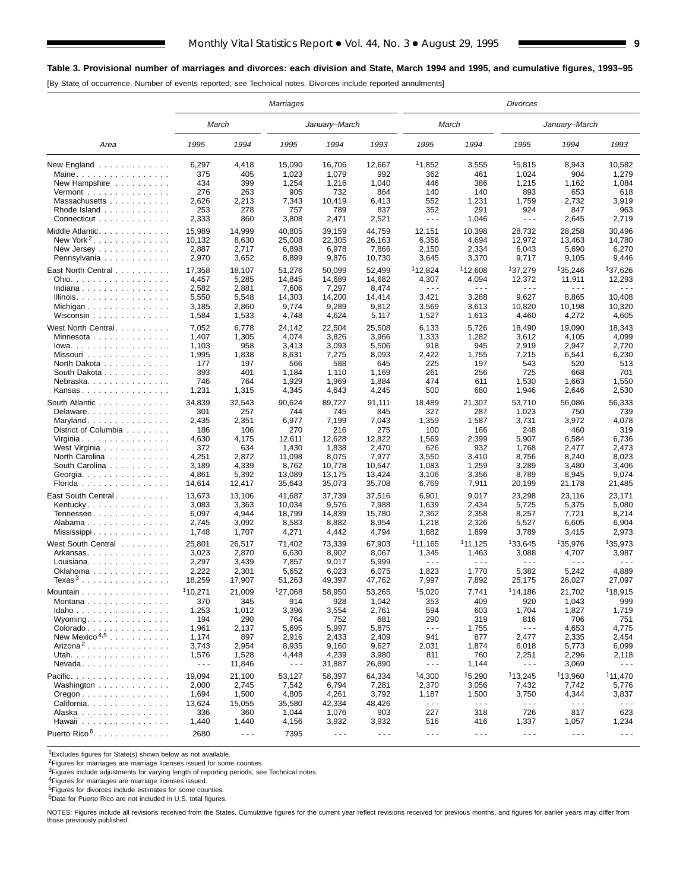[By State of occurrence. Number of events reported; see Technical notes. Divorces include reported annulments]

|                                                          |                      |                      | Marriages            |                      |                      |                                                                                                                                                                                                                                                                                                                                                                                              |                      | Divorces                    | January–March          |                      |  |  |  |
|----------------------------------------------------------|----------------------|----------------------|----------------------|----------------------|----------------------|----------------------------------------------------------------------------------------------------------------------------------------------------------------------------------------------------------------------------------------------------------------------------------------------------------------------------------------------------------------------------------------------|----------------------|-----------------------------|------------------------|----------------------|--|--|--|
|                                                          | March                |                      |                      | January-March        |                      | March                                                                                                                                                                                                                                                                                                                                                                                        |                      |                             |                        |                      |  |  |  |
| Area                                                     | 1995                 | 1994                 | 1995                 | 1994                 | 1993                 | 1995                                                                                                                                                                                                                                                                                                                                                                                         | 1994                 | 1995                        | 1994                   | 1993                 |  |  |  |
| New England                                              | 6,297                | 4,418                | 15,090               | 16,706               | 12,667               | 11,852                                                                                                                                                                                                                                                                                                                                                                                       | 3,555                | 15,815                      | 8,943                  | 10,582               |  |  |  |
| Maine                                                    | 375                  | 405                  | 1,023                | 1,079                | 992                  | 362                                                                                                                                                                                                                                                                                                                                                                                          | 461                  | 1,024                       | 904                    | 1,279                |  |  |  |
| New Hampshire                                            | 434                  | 399                  | 1,254                | 1,216                | 1,040                | 446                                                                                                                                                                                                                                                                                                                                                                                          | 386                  | 1,215                       | 1,162                  | 1,084                |  |  |  |
| Vermont $\dots\dots\dots\dots\dots\dots$                 | 276                  | 263                  | 905                  | 732                  | 864                  | 140                                                                                                                                                                                                                                                                                                                                                                                          | 140                  | 893                         | 653                    | 618                  |  |  |  |
| Massachusetts                                            | 2,626                | 2,213                | 7,343                | 10,419               | 6,413                | 552                                                                                                                                                                                                                                                                                                                                                                                          | 1,231                | 1,759                       | 2,732                  | 3,919                |  |  |  |
| Rhode Island                                             | 253                  | 278<br>860           | 757                  | 789                  | 837                  | 352<br>$\sim$ $\sim$ $\sim$                                                                                                                                                                                                                                                                                                                                                                  | 291                  | 924<br>$\sim$ $\sim$ $\sim$ | 847                    | 963<br>2,719         |  |  |  |
| Connecticut                                              | 2,333                |                      | 3,808                | 2,471                | 2,521                |                                                                                                                                                                                                                                                                                                                                                                                              | 1,046                |                             | 2,645                  |                      |  |  |  |
| Middle Atlantic.                                         | 15,989               | 14,999               | 40,805               | 39,159               | 44,759               | 12,151                                                                                                                                                                                                                                                                                                                                                                                       | 10,398               | 28,732                      | 28,258                 | 30,496               |  |  |  |
| New York <sup>2</sup> . $\ldots$                         | 10.132               | 8,630                | 25,008               | 22,305               | 26,163               | 6,356                                                                                                                                                                                                                                                                                                                                                                                        | 4,694                | 12,972                      | 13,463                 | 14,780               |  |  |  |
| New Jersey                                               | 2,887                | 2,717                | 6,898                | 6,978                | 7,866                | 2,150                                                                                                                                                                                                                                                                                                                                                                                        | 2,334                | 6,043                       | 5,690                  | 6,270                |  |  |  |
| Pennsylvania                                             | 2,970                | 3,652                | 8,899                | 9,876                | 10,730               | 3,645                                                                                                                                                                                                                                                                                                                                                                                        | 3,370                | 9,717                       | 9,105                  | 9,446                |  |  |  |
| East North Central                                       | 17,358               | 18,107               | 51,276               | 50,099               | 52,499               | <sup>1</sup> 12,824                                                                                                                                                                                                                                                                                                                                                                          | <sup>1</sup> 12,608  | <sup>1</sup> 37,279         | <sup>1</sup> 35,246    | <sup>1</sup> 37,626  |  |  |  |
| Ohio.                                                    | 4,457                | 5,285                | 14,845               | 14,689               | 14,682               | 4,307                                                                                                                                                                                                                                                                                                                                                                                        | 4,094                | 12,372                      | 11,911                 | 12,293               |  |  |  |
| Indiana                                                  | 2,582                | 2,881                | 7,606                | 7,297                | 8,474                | $\sim$ $\sim$ $\sim$                                                                                                                                                                                                                                                                                                                                                                         | $- - -$              | .                           | $\sim$ $\sim$ $\sim$   | .                    |  |  |  |
| Illinois.                                                | 5,550                | 5,548                | 14,303               | 14,200               | 14,414               | 3,421                                                                                                                                                                                                                                                                                                                                                                                        | 3,288                | 9,627                       | 8,865                  | 10,408               |  |  |  |
| Michigan                                                 | 3,185                | 2,860                | 9,774                | 9,289                | 9,812                | 3,569                                                                                                                                                                                                                                                                                                                                                                                        | 3,613                | 10,820                      | 10,198                 | 10,320               |  |  |  |
| Wisconsin $\ldots \ldots \ldots \ldots$                  | 1,584                | 1,533                | 4,748                | 4,624                | 5,117                | 1,527                                                                                                                                                                                                                                                                                                                                                                                        | 1,613                | 4,460                       | 4,272                  | 4,605                |  |  |  |
| West North Central                                       | 7,052                | 6,778                | 24.142               | 22,504               | 25,508               | 6,133                                                                                                                                                                                                                                                                                                                                                                                        | 5,726                | 18,490                      | 19,090                 | 18,343               |  |  |  |
| Minnesota                                                | 1,407                | 1,305                | 4,074                | 3,826                | 3,966                | 1,333                                                                                                                                                                                                                                                                                                                                                                                        | 1,282                | 3,612                       | 4,105                  | 4,099                |  |  |  |
| $lowa. \ldots \ldots \ldots \ldots$                      | 1,103                | 958                  | 3,413                | 3,093                | 5,506                | 918                                                                                                                                                                                                                                                                                                                                                                                          | 945                  | 2,919                       | 2,947                  | 2,720                |  |  |  |
| Missouri                                                 | 1,995                | 1,838                | 8,631                | 7,275                | 8,093                | 2,422                                                                                                                                                                                                                                                                                                                                                                                        | 1,755                | 7,215                       | 6,541                  | 6,230                |  |  |  |
| North Dakota                                             | 177                  | 197                  | 566                  | 588                  | 645                  | 225                                                                                                                                                                                                                                                                                                                                                                                          | 197                  | 543                         | 520                    | 513                  |  |  |  |
| South Dakota                                             | 393                  | 401                  | 1,184                | 1,110                | 1,169                | 261                                                                                                                                                                                                                                                                                                                                                                                          | 256                  | 725                         | 668                    | 701                  |  |  |  |
| Nebraska                                                 | 746                  | 764                  | 1,929                | 1,969                | 1,884                | 474                                                                                                                                                                                                                                                                                                                                                                                          | 611                  | 1,530                       | 1,663                  | 1,550                |  |  |  |
| Kansas                                                   | 1,231                | 1,315                | 4,345                | 4,643                | 4,245                | 500                                                                                                                                                                                                                                                                                                                                                                                          | 680                  | 1,946                       | 2,646                  | 2,530                |  |  |  |
|                                                          |                      |                      | 90,624               |                      |                      |                                                                                                                                                                                                                                                                                                                                                                                              | 21,307               |                             |                        |                      |  |  |  |
| South Atlantic<br>Delaware                               | 34,839<br>301        | 32,543<br>257        | 744                  | 89,727<br>745        | 91,111<br>845        | 18,489<br>327                                                                                                                                                                                                                                                                                                                                                                                | 287                  | 53,710<br>1,023             | 56,086<br>750          | 56,333<br>739        |  |  |  |
| Maryland                                                 | 2,435                | 2,351                | 6,977                | 7,199                | 7,043                | 1,359                                                                                                                                                                                                                                                                                                                                                                                        | 1,587                | 3,731                       | 3,972                  | 4,078                |  |  |  |
| District of Columbia                                     | 186                  | 106                  | 270                  | 216                  | 275                  | 100                                                                                                                                                                                                                                                                                                                                                                                          | 166                  | 248                         | 460                    | 319                  |  |  |  |
| Virginia                                                 | 4,630                | 4,175                | 12,611               | 12,628               | 12,822               | 1,569                                                                                                                                                                                                                                                                                                                                                                                        | 2,399                | 5,907                       | 6,584                  | 6,736                |  |  |  |
| West Virginia                                            | 372                  | 634                  | 1,430                | 1,838                | 2,470                | 626                                                                                                                                                                                                                                                                                                                                                                                          | 932                  | 1,768                       | 2,477                  | 2,473                |  |  |  |
| North Carolina                                           | 4,251                | 2,872                | 11,098               | 8,075                | 7,977                | 3,550                                                                                                                                                                                                                                                                                                                                                                                        | 3,410                | 8,756                       | 8,240                  | 8,023                |  |  |  |
| South Carolina                                           | 3,189                | 4,339                | 8,762                | 10,778               | 10,547               | 1,083                                                                                                                                                                                                                                                                                                                                                                                        | 1,259                | 3,289                       | 3,480                  | 3,406                |  |  |  |
| Georgia.                                                 | 4,861                | 5,392                | 13,089               | 13,175               | 13,424               | 3,106                                                                                                                                                                                                                                                                                                                                                                                        | 3,356                | 8,789                       | 8,945                  | 9,074                |  |  |  |
| Florida                                                  | 14,614               | 12,417               | 35,643               | 35,073               | 35,708               | 6,769                                                                                                                                                                                                                                                                                                                                                                                        | 7,911                | 20,199                      | 21,178                 | 21,485               |  |  |  |
|                                                          |                      |                      |                      |                      |                      |                                                                                                                                                                                                                                                                                                                                                                                              |                      |                             |                        |                      |  |  |  |
| East South Central                                       | 13,673               | 13,106               | 41,687               | 37,739               | 37,516               | 6,901                                                                                                                                                                                                                                                                                                                                                                                        | 9,017                | 23,298                      | 23,116                 | 23,171               |  |  |  |
| Kentucky                                                 | 3,083                | 3,363                | 10,034               | 9,576                | 7,988                | 1,639                                                                                                                                                                                                                                                                                                                                                                                        | 2,434                | 5,725                       | 5,375                  | 5,080                |  |  |  |
| Tennessee                                                | 6,097                | 4,944                | 18,799               | 14,839               | 15,780               | 2,362                                                                                                                                                                                                                                                                                                                                                                                        | 2,358                | 8,257                       | 7,721                  | 8,214                |  |  |  |
| Alabama                                                  | 2,745                | 3,092                | 8,583                | 8,882                | 8,954                | 1,218                                                                                                                                                                                                                                                                                                                                                                                        | 2,326                | 5,527                       | 6,605                  | 6,904                |  |  |  |
| Mississippi                                              | 1,748                | 1,707                | 4,271                | 4,442                | 4,794                | 1,682                                                                                                                                                                                                                                                                                                                                                                                        | 1,899                | 3,789                       | 3,415                  | 2,973                |  |  |  |
| West South Central                                       | 25,801               | 26,517               | 71,402               | 73,339               | 67,903               | 111,165                                                                                                                                                                                                                                                                                                                                                                                      | 111,125              | 133,645                     | 135,976                | 135,973              |  |  |  |
| Arkansas                                                 | 3,023                | 2,870                | 6,630                | 8,902                | 8,067                | 1,345                                                                                                                                                                                                                                                                                                                                                                                        | 1,463                | 3,088                       | 4,707                  | 3,987                |  |  |  |
| Louisiana.                                               | 2,297                | 3,439                | 7,857                | 9,017                | 5,999                | $- - -$                                                                                                                                                                                                                                                                                                                                                                                      | $\sim$ $\sim$ $\sim$ | .                           | $\sim$ $\sim$ $\sim$   | - - -                |  |  |  |
| Oklahoma                                                 | 2,222                | 2,301                | 5,652                | 6,023                | 6,075                | 1,823                                                                                                                                                                                                                                                                                                                                                                                        | 1,770                | 5,382                       | 5,242                  | 4,889                |  |  |  |
| Texas <sup>3</sup>                                       | 18,259               | 17,907               | 51,263               | 49,397               | 47,762               | 7,997                                                                                                                                                                                                                                                                                                                                                                                        | 7,892                | 25,175                      | 26,027                 | 27,097               |  |  |  |
| Mountain                                                 | 110,271              | 21,009               | 127,068              | 58,950               | 53,265               | 15,020                                                                                                                                                                                                                                                                                                                                                                                       | 7,741                | <sup>1</sup> 14.186         | 21,702                 | 118,915              |  |  |  |
| Montana                                                  | 370                  | 345                  | 914                  | 928                  | 1,042                | 353                                                                                                                                                                                                                                                                                                                                                                                          | 409                  | 920                         | 1,043                  | 999                  |  |  |  |
| Idaho                                                    | 1,253                | 1,012                | 3,396                | 3,554                | 2,761                | 594                                                                                                                                                                                                                                                                                                                                                                                          | 603                  | 1,704                       | 1,827                  | 1,719                |  |  |  |
| Wyoming                                                  | 194                  | 290                  | 764                  | 752                  | 681                  | 290                                                                                                                                                                                                                                                                                                                                                                                          | 319                  | 816                         | 706                    | 751                  |  |  |  |
| Colorado                                                 | 1,961                | 2,137                | 5,695                | 5,997                | 5,875                | $\sim$ $\sim$ $\sim$                                                                                                                                                                                                                                                                                                                                                                         | 1,755                | $\sim$ $\sim$ $\sim$        | 4,653                  | 4,775                |  |  |  |
| New Mexico <sup>4,5</sup>                                | 1,174                | 897                  | 2,916                | 2,433                | 2,409                | 941                                                                                                                                                                                                                                                                                                                                                                                          | 877                  | 2,477                       | 2,335                  | 2,454                |  |  |  |
| Arizona <sup>2</sup>                                     | 3,743                | 2,954                | 8,935                | 9,160                | 9,627                | 2,031                                                                                                                                                                                                                                                                                                                                                                                        | 1,874                | 6,018                       | 5,773                  | 6,099                |  |  |  |
| Utah.                                                    | 1,576                | 1,528                | 4,448                | 4,239                | 3,980                | 811                                                                                                                                                                                                                                                                                                                                                                                          | 760                  | 2,251                       | 2,296                  | 2,118                |  |  |  |
| $N$ evada                                                | $\sim$ $\sim$ $\sim$ | 11,846               | $\sim$ $\sim$ $\sim$ | 31,887               | 26,890               | $\frac{1}{2} \frac{1}{2} \frac{1}{2} \frac{1}{2} \frac{1}{2} \frac{1}{2} \frac{1}{2} \frac{1}{2} \frac{1}{2} \frac{1}{2} \frac{1}{2} \frac{1}{2} \frac{1}{2} \frac{1}{2} \frac{1}{2} \frac{1}{2} \frac{1}{2} \frac{1}{2} \frac{1}{2} \frac{1}{2} \frac{1}{2} \frac{1}{2} \frac{1}{2} \frac{1}{2} \frac{1}{2} \frac{1}{2} \frac{1}{2} \frac{1}{2} \frac{1}{2} \frac{1}{2} \frac{1}{2} \frac{$ | 1,144                | - - -                       | 3,069                  |                      |  |  |  |
| Pacific.                                                 | 19,094               | 21,100               | 53,127               | 58,397               | 64,334               | 14,300                                                                                                                                                                                                                                                                                                                                                                                       | 15,290               | 113,245                     | 113,960                | <sup>1</sup> 11,470  |  |  |  |
| Washington                                               | 2,000                | 2,745                | 7,542                | 6,794                | 7,281                | 2,370                                                                                                                                                                                                                                                                                                                                                                                        | 3,056                | 7,432                       | 7,742                  | 5,776                |  |  |  |
| $O$ regon $\ldots$ $\ldots$ $\ldots$ $\ldots$ $\ldots$ . | 1,694                | 1,500                | 4,805                | 4,261                | 3,792                | 1,187                                                                                                                                                                                                                                                                                                                                                                                        | 1,500                | 3,750                       | 4,344                  | 3,837                |  |  |  |
| California                                               | 13,624               | 15,055               | 35,580               | 42,334               | 48,426               | $\sim$ $\sim$ $\sim$                                                                                                                                                                                                                                                                                                                                                                         | $\sim$ $\sim$ $\sim$ | $\sim$ $\sim$ $\sim$        | $\sim$ $\sim$ $\sim$   | $- - -$              |  |  |  |
| Alaska                                                   | 336                  | 360                  | 1,044                | 1,076                | 903                  | 227                                                                                                                                                                                                                                                                                                                                                                                          | 318                  | 726                         | 817                    | 623                  |  |  |  |
| Hawaii                                                   | 1,440                | 1,440                | 4,156                | 3,932                | 3,932                | 516                                                                                                                                                                                                                                                                                                                                                                                          | 416                  | 1,337                       | 1,057                  | 1,234                |  |  |  |
| Puerto Rico <sup>6</sup> .                               | 2680                 | $\sim$ $\sim$ $\sim$ | 7395                 | $\sim$ $\sim$ $\sim$ | $\sim$ $\sim$ $\sim$ | $\sim$ $\sim$ $\sim$                                                                                                                                                                                                                                                                                                                                                                         | $\sim$ $\sim$ $\sim$ | $\sim$ $\sim$ $\sim$        | $\omega \equiv \omega$ | $\sim$ $\sim$ $\sim$ |  |  |  |
|                                                          |                      |                      |                      |                      |                      |                                                                                                                                                                                                                                                                                                                                                                                              |                      |                             |                        |                      |  |  |  |

1Excludes figures for State(s) shown below as not available.

<sup>2</sup>Figures for marriages are marriage licenses issued for some counties.

3Figures include adjustments for varying length of reporting periods; see Technical notes.

<sup>4</sup>Figures for marriages are marriage licenses issued.<br><sup>5</sup>Figures for divorces include estimates for some counties.

6Data for Puerto Rico are not included in U.S. total figures.

NOTES: Figures include all revisions received from the States. Cumulative figures for the current year reflect revisions received for previous months, and figures for earlier years may differ from those previously published.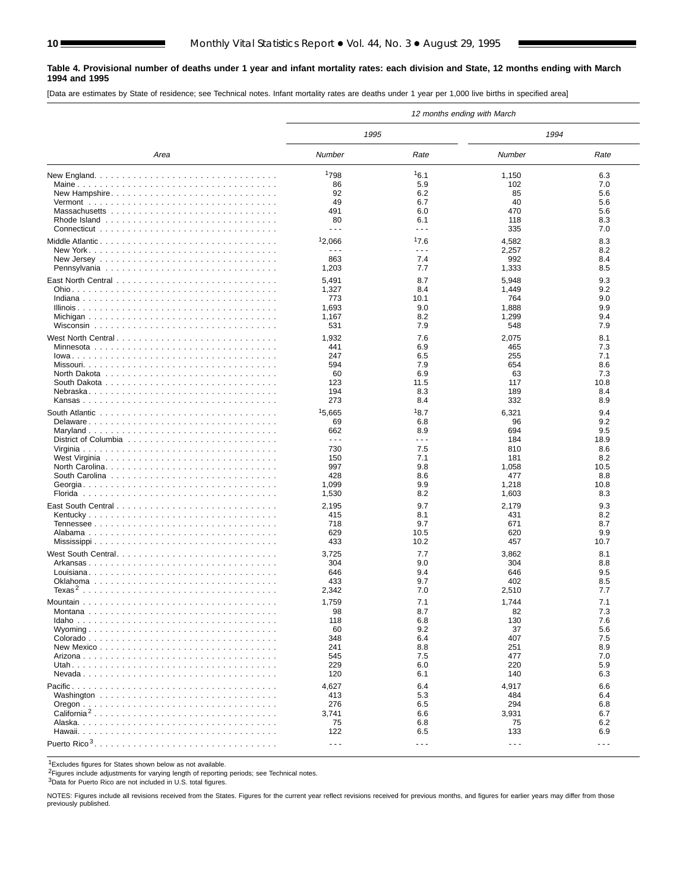#### **Table 4. Provisional number of deaths under 1 year and infant mortality rates: each division and State, 12 months ending with March 1994 and 1995**

[Data are estimates by State of residence; see Technical notes. Infant mortality rates are deaths under 1 year per 1,000 live births in specified area]

|                                                                                             |                      |                      | 12 months ending with March |         |
|---------------------------------------------------------------------------------------------|----------------------|----------------------|-----------------------------|---------|
|                                                                                             | 1995                 |                      | 1994                        |         |
| Area                                                                                        | Number               | Rate                 | Number                      | Rate    |
| New England. $\ldots \ldots \ldots \ldots \ldots \ldots \ldots \ldots \ldots \ldots \ldots$ | 1798                 | 16.1                 | 1,150                       | 6.3     |
|                                                                                             | 86                   | 5.9                  | 102                         | 7.0     |
| New Hampshire                                                                               | 92                   | 6.2                  | 85                          | 5.6     |
|                                                                                             | 49                   | 6.7                  | 40                          | 5.6     |
|                                                                                             | 491                  | 6.0                  | 470                         | 5.6     |
|                                                                                             | 80                   | 6.1                  | 118                         | 8.3     |
|                                                                                             | $\sim$ $\sim$ $\sim$ | $\sim$ $\sim$ $\sim$ | 335                         | 7.0     |
| Middle Atlantic                                                                             | 12,066               | 17.6                 | 4,582                       | 8.3     |
|                                                                                             | $\sim$ $\sim$ $\sim$ | $\sim$ $\sim$ $\sim$ | 2,257                       | 8.2     |
|                                                                                             | 863                  | 7.4                  | 992                         | 8.4     |
|                                                                                             | 1,203                | 7.7                  | 1,333                       | 8.5     |
|                                                                                             | 5,491                | 8.7                  | 5,948                       | 9.3     |
|                                                                                             | 1,327                | 8.4                  | 1,449                       | 9.2     |
|                                                                                             | 773                  | 10.1                 | 764                         | 9.0     |
|                                                                                             | 1,693                | 9.0                  | 1,888                       | 9.9     |
|                                                                                             | 1,167                | 8.2                  | 1,299                       | 9.4     |
|                                                                                             | 531                  | 7.9                  | 548                         | 7.9     |
|                                                                                             |                      | 7.6                  |                             | 8.1     |
| West North Central                                                                          | 1,932<br>441         | 6.9                  | 2,075<br>465                | 7.3     |
|                                                                                             | 247                  | 6.5                  | 255                         | 7.1     |
|                                                                                             | 594                  | 7.9                  | 654                         | 8.6     |
|                                                                                             | 60                   | 6.9                  | 63                          | 7.3     |
|                                                                                             | 123                  | 11.5                 | 117                         | 10.8    |
|                                                                                             | 194                  | 8.3                  | 189                         | 8.4     |
|                                                                                             | 273                  | 8.4                  | 332                         | 8.9     |
|                                                                                             | 15,665               | 18.7                 | 6,321                       | 9.4     |
| Delaware                                                                                    | 69                   | 6.8                  | 96                          | 9.2     |
|                                                                                             | 662                  | 8.9                  | 694                         | 9.5     |
|                                                                                             | $- - -$              | $\sim$ $\sim$ $\sim$ | 184                         | 18.9    |
|                                                                                             | 730                  | 7.5                  | 810                         | 8.6     |
|                                                                                             | 150                  | 7.1                  | 181                         | 8.2     |
|                                                                                             | 997                  | 9.8                  | 1,058                       | 10.5    |
|                                                                                             | 428                  | 8.6                  | 477                         | 8.8     |
|                                                                                             | 1,099                | 9.9                  | 1,218                       | 10.8    |
|                                                                                             | 1,530                | 8.2                  | 1,603                       | 8.3     |
|                                                                                             | 2,195                | 9.7                  | 2,179                       | 9.3     |
|                                                                                             | 415                  | 8.1                  | 431                         | 8.2     |
|                                                                                             | 718                  | 9.7                  | 671                         | 8.7     |
|                                                                                             | 629                  | 10.5                 | 620                         | 9.9     |
|                                                                                             | 433                  | 10.2                 | 457                         | 10.7    |
| West South Central                                                                          | 3,725                | 7.7                  | 3,862                       | 8.1     |
|                                                                                             | 304                  | 9.0                  | 304                         | 8.8     |
|                                                                                             | 646                  | 9.4                  | 646                         | 9.5     |
|                                                                                             | 433                  | 9.7                  | 402                         | 8.5     |
|                                                                                             | 2,342                | 7.0                  | 2,510                       | 7.7     |
|                                                                                             | 1,759                | 7.1                  | 1,744                       | 7.1     |
|                                                                                             | 98                   | 8.7                  | 82                          | 7.3     |
|                                                                                             | 118                  | 6.8                  | 130                         | 7.6     |
|                                                                                             | 60                   | 9.2                  | 37                          | 5.6     |
|                                                                                             | 348                  | 6.4                  | 407                         | 7.5     |
|                                                                                             | 241                  | 8.8                  | 251                         | 8.9     |
|                                                                                             | 545                  | 7.5                  | 477                         | 7.0     |
|                                                                                             | 229                  | 6.0                  | 220                         | 5.9     |
|                                                                                             | 120                  | 6.1                  | 140                         | 6.3     |
|                                                                                             | 4,627                | 6.4                  | 4,917                       | 6.6     |
|                                                                                             | 413                  | 5.3                  | 484                         | 6.4     |
|                                                                                             | 276                  | 6.5                  | 294                         | 6.8     |
| California <sup>2</sup>                                                                     | 3,741                | 6.6                  | 3,931                       | 6.7     |
|                                                                                             | 75                   | 6.8                  | 75                          | 6.2     |
|                                                                                             | 122                  | 6.5                  | 133                         | 6.9     |
|                                                                                             | $\sim$ $\sim$ $\sim$ | $\sim$ $\sim$ $\sim$ | $\sim$ $\sim$ $\sim$        | $- - -$ |

1Excludes figures for States shown below as not available.

2Figures include adjustments for varying length of reporting periods; see Technical notes.

3Data for Puerto Rico are not included in U.S. total figures.

NOTES: Figures include all revisions received from the States. Figures for the current year reflect revisions received for previous months, and figures for earlier years may differ from those previously published.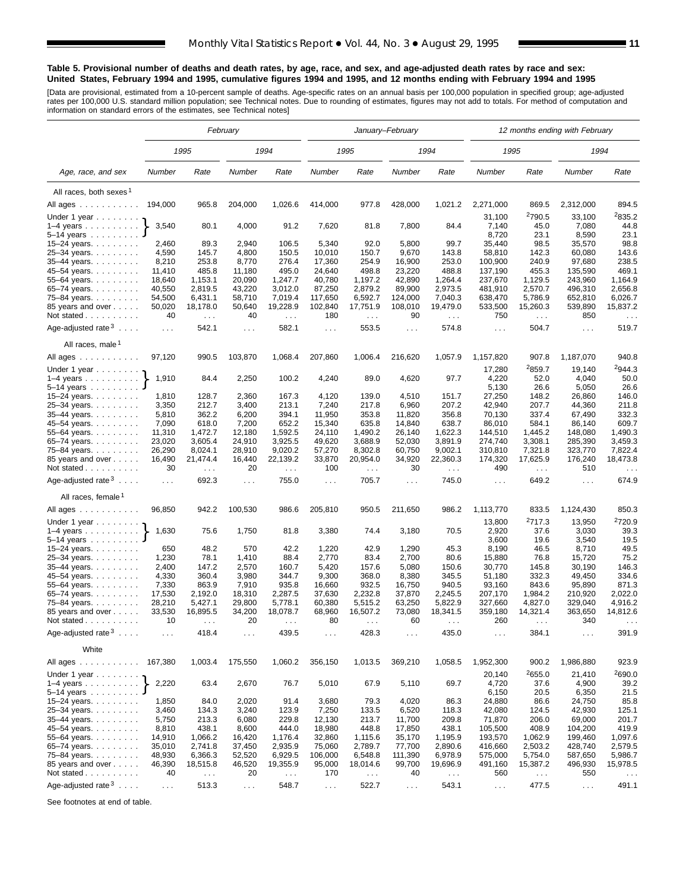#### **Table 5. Provisional number of deaths and death rates, by age, race, and sex, and age-adjusted death rates by race and sex: United States, February 1994 and 1995, cumulative figures 1994 and 1995, and 12 months ending with February 1994 and 1995**

[Data are provisional, estimated from a 10-percent sample of deaths. Age-specific rates on an annual basis per 100,000 population in specified group; age-adjusted<br>rates per 100,000 U.S. standard million population; see Tec

|                                    | February         |                      |                      |                      |                               |                      | January-February     |                       | 12 months ending with February |                                  |                      |                       |  |
|------------------------------------|------------------|----------------------|----------------------|----------------------|-------------------------------|----------------------|----------------------|-----------------------|--------------------------------|----------------------------------|----------------------|-----------------------|--|
|                                    |                  | 1995                 |                      | 1994                 |                               | 1995                 |                      | 1994                  | 1995                           |                                  | 1994                 |                       |  |
| Age, race, and sex                 | Number           | Rate                 | Number               | Rate                 | Number                        | Rate                 | Number               | Rate                  | Number                         | Rate                             | Number               | Rate                  |  |
| All races, both sexes <sup>1</sup> |                  |                      |                      |                      |                               |                      |                      |                       |                                |                                  |                      |                       |  |
| All ages                           | 194,000          | 965.8                | 204,000              | 1,026.6              | 414,000                       | 977.8                | 428,000              | 1,021.2               | 2,271,000                      | 869.5                            | 2,312,000            | 894.5                 |  |
| Under 1 year $\ldots \ldots$       |                  |                      |                      |                      |                               |                      |                      |                       | 31,100                         | <sup>2</sup> 790.5               | 33,100               | <sup>2</sup> 835.2    |  |
| 1–4 years $\ldots$                 | 3,540            | 80.1                 | 4,000                | 91.2                 | 7,620                         | 81.8                 | 7,800                | 84.4                  | 7,140                          | 45.0                             | 7,080                | 44.8                  |  |
| 5-14 years                         | 2,460            | 89.3                 |                      |                      | 5,340                         | 92.0                 |                      | 99.7                  | 8,720                          | 23.1<br>98.5                     | 8,590                | 23.1<br>98.8          |  |
| 15–24 years.<br>25-34 years.       | 4,590            | 145.7                | 2,940<br>4,800       | 106.5<br>150.5       | 10,010                        | 150.7                | 5,800<br>9,670       | 143.8                 | 35,440<br>58,810               | 142.3                            | 35,570<br>60,080     | 143.6                 |  |
| 35-44 years.                       | 8,210            | 253.8                | 8,770                | 276.4                | 17,360                        | 254.9                | 16,900               | 253.0                 | 100,900                        | 240.9                            | 97,680               | 238.5                 |  |
| 45–54 years.                       | 11,410           | 485.8                | 11,180               | 495.0                | 24,640                        | 498.8                | 23,220               | 488.8                 | 137,190                        | 455.3                            | 135,590              | 469.1                 |  |
| 55-64 years.                       | 18,640           | 1,153.1              | 20,090               | 1,247.7              | 40,780                        | 1,197.2              | 42,890               | 1,264.4               | 237,670                        | 1,129.5                          | 243,960              | 1,164.9               |  |
| 65-74 years.                       | 40,550           | 2,819.5              | 43,220               | 3,012.0              | 87,250                        | 2,879.2              | 89,900               | 2,973.5               | 481,910                        | 2,570.7                          | 496,310              | 2,656.8               |  |
| 75-84 years.<br>85 years and over  | 54,500<br>50,020 | 6,431.1<br>18,178.0  | 58,710<br>50,640     | 7,019.4<br>19,228.9  | 117,650<br>102,840            | 6,592.7<br>17,751.9  | 124,000<br>108,010   | 7,040.3<br>19,479.0   | 638,470<br>533,500             | 5,786.9<br>15,260.3              | 652,810<br>539,890   | 6,026.7<br>15,837.2   |  |
| Not stated                         | 40               | $\sim 100$           | 40                   | $\sim 100$           | 180                           | $\sim$ $\sim$        | 90                   | $\sim 100$            | 750                            | $\sim 100$                       | 850                  | $\sim$ $\sim$         |  |
| Age-adjusted rate $3 \ldots$ .     | $\sim 10$        | 542.1                | $\sim$ $\sim$ $\sim$ | 582.1                | $\sim 100$                    | 553.5                | $\sim$ $\sim$ $\sim$ | 574.8                 | $\sim 100$                     | 504.7                            | $\sim$ $\sim$ $\sim$ | 519.7                 |  |
| All races, male <sup>1</sup>       |                  |                      |                      |                      |                               |                      |                      |                       |                                |                                  |                      |                       |  |
| All ages                           | 97,120           | 990.5                | 103,870              | 1,068.4              | 207,860<br>1,006.4<br>216,620 |                      | 1,057.9              | 1,157,820             | 907.8                          | 1,187,070                        | 940.8                |                       |  |
| Under 1 year                       |                  |                      |                      |                      |                               |                      |                      |                       | 17,280                         | 2859.7                           | 19,140               | 2944.3                |  |
| 1–4 years $\ldots$<br>5–14 years   | 1,910            | 84.4                 | 2,250                | 100.2                | 4,240                         | 89.0                 | 4,620                | 97.7                  | 4,220<br>5,130                 | 52.0<br>26.6                     | 4,040<br>5,050       | 50.0<br>26.6          |  |
| 15–24 years. $\ldots$              | 1,810            | 128.7                | 2,360                | 167.3                | 4,120                         | 139.0                | 4,510                | 151.7                 | 27,250                         | 148.2                            | 26,860               | 146.0                 |  |
| 25-34 years.                       | 3,350            | 212.7                | 3,400                | 213.1                | 7,240                         | 217.8                | 6,960                | 207.2                 | 42.940                         | 207.7                            | 44,360               | 211.8                 |  |
| 35-44 years.                       | 5,810            | 362.2                | 6,200                | 394.1                | 11,950                        | 353.8                | 11,820               | 356.8                 | 70,130                         | 337.4                            | 67,490               | 332.3                 |  |
| 45-54 years.                       | 7,090            | 618.0                | 7,200                | 652.2                | 15,340                        | 635.8                | 14,840               | 638.7                 | 86,010                         | 584.1                            | 86,140               | 609.7                 |  |
| 55-64 years.<br>65-74 years.       | 11,310<br>23,020 | 1,472.7<br>3,605.4   | 12,180<br>24,910     | 1,592.5<br>3,925.5   | 24,110<br>49,620              | 1,490.2<br>3,688.9   | 26,140<br>52,030     | 1,622.3<br>3,891.9    | 144,510<br>274,740             | 1,445.2<br>3,308.1               | 148,080<br>285,390   | 1,490.3<br>3,459.3    |  |
| 75–84 years.                       | 26,290           | 8,024.1              | 28,910               | 9,020.2              | 57,270                        | 8,302.8              | 60,750               | 9,002.1               | 310,810                        | 7,321.8                          | 323,770              | 7,822.4               |  |
| 85 years and over<br>Not stated    | 16,490<br>30     | 21,474.4<br>$\sim$ . | 16,440<br>20         | 22,139.2<br>$\sim$   | 33,870<br>100                 | 20,954.0<br>$\sim$   | 34,920<br>30         | 22,360.3<br>$\ddotsc$ | 174,320<br>490                 | 17,625.9<br>$\sim$ $\sim$        | 176,240<br>510       | 18,473.8<br>$\ddotsc$ |  |
| Age-adjusted rate <sup>3</sup>     | .                | 692.3                | $\cdots$             | 755.0                | $\cdots$                      | 705.7                | $\sim$ $\sim$ $\sim$ | 745.0                 | $\ldots$                       | 649.2                            | $\sim 100$           | 674.9                 |  |
| All races, female <sup>1</sup>     |                  |                      |                      |                      |                               |                      |                      |                       |                                |                                  |                      |                       |  |
| All ages                           | 96,850           | 942.2                | 100,530              | 986.6                | 205,810                       | 950.5                | 211,650              | 986.2                 | 1,113,770                      | 833.5                            | 1,124,430            | 850.3                 |  |
| Under 1 year                       |                  |                      |                      |                      |                               |                      |                      |                       | 13,800                         | 2717.3                           | 13,950               | <sup>2</sup> 720.9    |  |
| $1-4$ years<br>5–14 years          | 1,630            | 75.6                 | 1,750                | 81.8                 | 3,380                         | 74.4                 | 3,180                | 70.5                  | 2,920<br>3,600                 | 37.6<br>19.6                     | 3,030<br>3,540       | 39.3<br>19.5          |  |
| 15-24 years.                       | 650              | 48.2                 | 570                  | 42.2                 | 1,220                         | 42.9                 | 1,290                | 45.3                  | 8,190                          | 46.5                             | 8,710                | 49.5                  |  |
| 25-34 years.                       | 1,230            | 78.1                 | 1,410                | 88.4                 | 2,770                         | 83.4                 | 2,700                | 80.6                  | 15,880                         | 76.8                             | 15,720               | 75.2                  |  |
| 35-44 years.                       | 2,400            | 147.2                | 2,570                | 160.7                | 5,420                         | 157.6                | 5,080                | 150.6                 | 30.770                         | 145.8                            | 30,190               | 146.3                 |  |
| 45–54 years.<br>55-64 years.       | 4,330<br>7,330   | 360.4<br>863.9       | 3,980<br>7,910       | 344.7<br>935.8       | 9,300<br>16,660               | 368.0<br>932.5       | 8,380<br>16,750      | 345.5<br>940.5        | 51,180<br>93,160               | 332.3<br>843.6                   | 49,450<br>95,890     | 334.6<br>871.3        |  |
| 65–74 years.                       | 17,530           | 2,192.0              | 18,310               | 2,287.5              | 37,630                        | 2,232.8              | 37,870               | 2,245.5               | 207,170                        | 1,984.2                          | 210,920              | 2,022.0               |  |
| 75–84 years.                       | 28,210           | 5,427.1              | 29,800               | 5,778.1              | 60,380                        | 5,515.2              | 63,250               | 5,822.9               | 327,660                        | 4,827.0                          | 329,040              | 4,916.2               |  |
| 85 years and over<br>Not stated    | 33,530<br>10     | 16,895.5<br>$\cdots$ | 34,200<br>20         | 18,078.7<br>$\cdots$ | 68,960<br>80                  | 16,507.2<br>$\cdots$ | 73,080<br>60         | 18,341.5<br>$\cdots$  | 359,180<br>260                 | 14,321.4<br>$\sim$ $\sim$ $\sim$ | 363,650<br>340       | 14,812.6              |  |
| Age-adjusted rate $3 \ldots$       | $\sim$ .         | 418.4                | $\cdots$             | 439.5                | $\cdots$                      | 428.3                | $\sim$ .             | 435.0                 | $\sim$ $\sim$                  | 384.1                            | $\sim$ $\sim$ $\sim$ | 391.9                 |  |
| White                              |                  |                      |                      |                      |                               |                      |                      |                       |                                |                                  |                      |                       |  |
| All ages ...........               | 167,380          | 1,003.4              | 175,550              | 1,060.2              | 356,150                       | 1,013.5              | 369,210              | 1,058.5               | 1,952,300                      | 900.2                            | 1,986,880            | 923.9                 |  |
| Under 1 year $\ldots \ldots$       |                  |                      |                      |                      |                               |                      |                      |                       | 20,140                         | 2655.0                           | 21,410               | 2690.0                |  |
| $1-4$ years<br>5–14 years          | 2,220            | 63.4                 | 2,670                | 76.7                 | 5,010                         | 67.9                 | 5,110                | 69.7                  | 4,720<br>6,150                 | 37.6<br>20.5                     | 4,900<br>6,350       | 39.2<br>21.5          |  |
| 15–24 years. $\ldots$              | 1,850            | 84.0                 | 2,020                | 91.4                 | 3,680                         | 79.3                 | 4,020                | 86.3                  | 24,880                         | 86.6                             | 24,750               | 85.8                  |  |
| 25–34 years.                       | 3,460            | 134.3                | 3,240                | 123.9                | 7,250                         | 133.5                | 6,520                | 118.3                 | 42,080                         | 124.5                            | 42,930               | 125.1                 |  |
| 35–44 years.<br>45–54 years.       | 5,750<br>8,810   | 213.3<br>438.1       | 6,080<br>8,600       | 229.8<br>444.0       | 12,130<br>18,980              | 213.7<br>448.8       | 11,700<br>17,850     | 209.8<br>438.1        | 71,870<br>105,500              | 206.0<br>408.9                   | 69,000<br>104,200    | 201.7<br>419.9        |  |
| 55–64 years.                       | 14,910           | 1,066.2              | 16,420               | 1,176.4              | 32,860                        | 1,115.6              | 35,170               | 1,195.9               | 193,570                        | 1,062.9                          | 199,460              | 1,097.6               |  |
| 65–74 years.                       | 35,010           | 2,741.8              | 37,450               | 2,935.9              | 75,060                        | 2,789.7              | 77,700               | 2,890.6               | 416,660                        | 2,503.2                          | 428,740              | 2,579.5               |  |
| 75–84 years                        | 48,930           | 6,366.3              | 52,520               | 6,929.5              | 106,000                       | 6,548.8              | 111,390              | 6,978.9               | 575,000                        | 5,754.0                          | 587,650              | 5,986.7               |  |
| 85 years and over                  | 46,390           | 18,515.8             | 46,520               | 19,355.9             | 95,000                        | 18,014.6             | 99,700               | 19,696.9              | 491,160                        | 15,387.2                         | 496,930              | 15,978.5              |  |
| Not stated                         | 40               | $\sim$ $\sim$        | 20                   | $\sim$ $\sim$        | 170                           | $\sim$ $\sim$        | 40                   | $\sim$ $\sim$         | 560                            | $\sim$ $\sim$                    | 550                  | $\sim$ $\sim$ $\sim$  |  |
| Age-adjusted rate $3 \ldots$ .     | $\sim 100$       | 513.3                | $\sim$ $\sim$        | 548.7                | $\sim 100$                    | 522.7                | $\sim$ $\sim$ $\sim$ | 543.1                 | $\sim$ $\sim$ $\sim$           | 477.5                            | $\sim$ $\sim$ $\sim$ | 491.1                 |  |

See footnotes at end of table.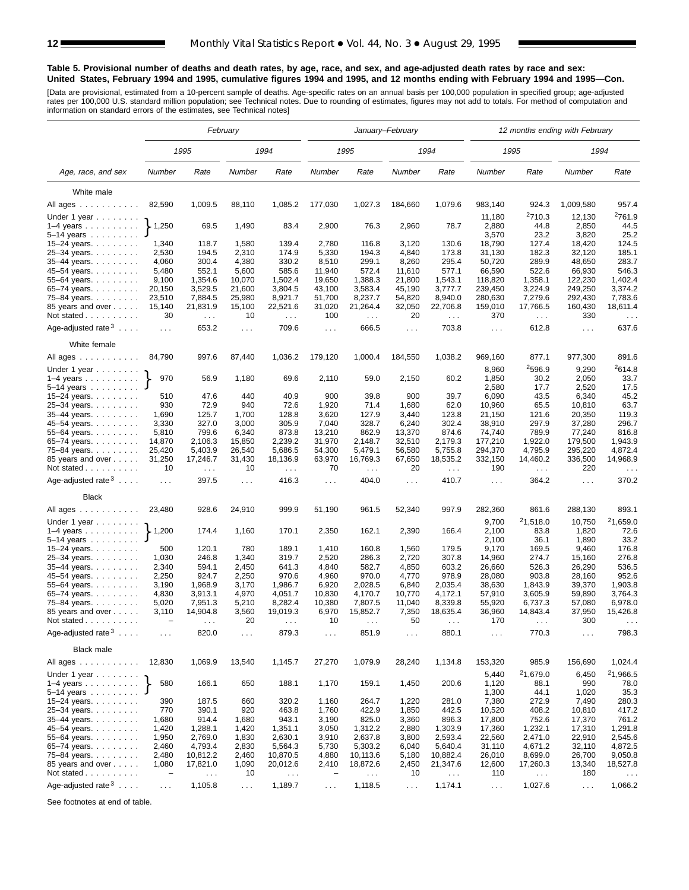#### **Table 5. Provisional number of deaths and death rates, by age, race, and sex, and age-adjusted death rates by race and sex: United States, February 1994 and 1995, cumulative figures 1994 and 1995, and 12 months ending with February 1994 and 1995—Con.**

[Data are provisional, estimated from a 10-percent sample of deaths. Age-specific rates on an annual basis per 100,000 population in specified group; age-adjusted<br>rates per 100,000 U.S. standard million population; see Tec

|                                                          | February                          |                               |                |                                  |                          |                        | January-February     |                      | 12 months ending with February |                              |                      |                              |  |  |
|----------------------------------------------------------|-----------------------------------|-------------------------------|----------------|----------------------------------|--------------------------|------------------------|----------------------|----------------------|--------------------------------|------------------------------|----------------------|------------------------------|--|--|
|                                                          |                                   | 1995                          |                | 1994                             |                          | 1995                   |                      | 1994                 |                                | 1995                         | 1994                 |                              |  |  |
| Age, race, and sex                                       | Number                            | Rate                          | Number         | Rate                             | Number                   | Rate                   | Number               | Rate                 | Number                         | Rate                         | Number               | Rate                         |  |  |
| White male                                               |                                   |                               |                |                                  |                          |                        |                      |                      |                                |                              |                      |                              |  |  |
| All ages                                                 | 82,590                            | 1,009.5                       | 88,110         | 1,085.2                          | 177,030                  | 1,027.3                | 184,660              | 1,079.6              | 983,140                        | 924.3                        | 1,009,580            | 957.4                        |  |  |
|                                                          |                                   |                               |                |                                  |                          |                        |                      |                      | 11,180                         | <sup>2</sup> 710.3           | 12,130               | <sup>2</sup> 761.9           |  |  |
| Under 1 year<br>$1-4$ years $\ldots$ $\ldots$ $\ldots$ . | $\blacktriangleright$ 1,250       | 69.5                          | 1,490          | 83.4                             | 2,900                    | 76.3                   | 2,960                | 78.7                 | 2,880                          | 44.8                         | 2,850                | 44.5                         |  |  |
| $5 - 14$ years                                           |                                   |                               |                |                                  |                          |                        |                      |                      | 3,570                          | 23.2                         | 3,820                | 25.2                         |  |  |
| 15-24 years.                                             | 1,340                             | 118.7                         | 1,580          | 139.4                            | 2,780                    | 116.8                  | 3,120                | 130.6                | 18,790                         | 127.4                        | 18,420               | 124.5                        |  |  |
| 25-34 years.                                             | 2,530                             | 194.5                         | 2,310          | 174.9                            | 5,330                    | 194.3                  | 4,840                | 173.8                | 31,130                         | 182.3                        | 32,120               | 185.1                        |  |  |
| 35-44 years.                                             | 4,060                             | 300.4                         | 4,380          | 330.2                            | 8,510                    | 299.1                  | 8,260                | 295.4                | 50,720                         | 289.9                        | 48,650               | 283.7                        |  |  |
| 45-54 years.                                             | 5,480                             | 552.1                         | 5,600          | 585.6                            | 11,940                   | 572.4                  | 11,610               | 577.1                | 66,590                         | 522.6                        | 66,930               | 546.3                        |  |  |
| 55-64 years.                                             | 9,100                             | 1,354.6                       | 10,070         | 1,502.4                          | 19,650                   | 1,388.3                | 21,800               | 1,543.1              | 118,820                        | 1,358.1                      | 122,230              | 1,402.4                      |  |  |
| 65-74 years.                                             | 20,150                            | 3,529.5                       | 21,600         | 3,804.5                          | 43,100                   | 3,583.4                | 45,190               | 3,777.7              | 239,450                        | 3,224.9                      | 249,250              | 3,374.2                      |  |  |
| 75-84 years.                                             | 23,510                            | 7,884.5                       | 25,980         | 8,921.7                          | 51,700                   | 8,237.7                | 54,820               | 8,940.0              | 280,630                        | 7,279.6                      | 292,430              | 7,783.6                      |  |  |
| 85 years and over                                        | 15,140                            | 21,831.9                      | 15,100         | 22,521.6                         | 31,020                   | 21,264.4               | 32,050               | 22,706.8             | 159,010                        | 17,766.5                     | 160,430              | 18,611.4                     |  |  |
| Not stated                                               | 30                                | $\sim 100$                    | 10             | $\sim$ .                         | 100                      | $\sim$ $\sim$          | 20                   | $\sim$ $\sim$        | 370                            | $\mathcal{L}^{\mathcal{L}}$  | 330                  | $\sim$ . $\sim$              |  |  |
| Age-adjusted rate $3 \ldots$ .                           | $\sim 100$                        | 653.2                         | $\cdots$       | 709.6                            | $\sim 100$               | 666.5                  | $\sim$ $\sim$ $\sim$ | 703.8                | $\sim 100$                     | 612.8                        | $\sim$ $\sim$ $\sim$ | 637.6                        |  |  |
| White female                                             |                                   |                               |                |                                  |                          |                        |                      |                      |                                |                              |                      |                              |  |  |
| All ages $\ldots$ $\ldots$ $\ldots$ .                    | 84,790                            | 997.6                         | 87,440         | 1,036.2                          | 179,120                  | 1,000.4                | 184,550              | 1,038.2              | 969,160                        | 877.1                        | 977,300              | 891.6                        |  |  |
| Under 1 year                                             |                                   |                               |                |                                  |                          |                        |                      |                      | 8,960                          | 2596.9                       | 9,290                | <sup>2</sup> 614.8           |  |  |
| $1-4$ years<br>$5 - 14$ years                            | 970                               | 56.9                          | 1,180          | 69.6                             | 2,110                    | 59.0                   | 2,150                | 60.2                 | 1,850<br>2,580                 | 30.2                         | 2,050<br>2,520       | 33.7<br>17.5                 |  |  |
| 15-24 years.                                             | 510                               | 47.6                          | 440            | 40.9                             | 900                      | 39.8                   | 900                  | 39.7                 | 6,090                          | 17.7<br>43.5                 | 6,340                | 45.2                         |  |  |
| 25-34 years.                                             | 930                               | 72.9                          | 940            | 72.6                             | 1,920                    | 71.4                   | 1,680                | 62.0                 | 10,960                         | 65.5                         | 10,810               | 63.7                         |  |  |
| 35-44 years.                                             | 1,690                             | 125.7                         | 1,700          | 128.8                            | 3,620                    | 127.9                  | 3,440                | 123.8                | 21,150                         | 121.6                        | 20,350               | 119.3                        |  |  |
| 45-54 years.                                             | 3,330                             | 327.0                         | 3,000          | 305.9                            | 7,040                    | 328.7                  | 6,240                | 302.4                | 38,910                         | 297.9                        | 37,280               | 296.7                        |  |  |
| 55-64 years.                                             | 5,810                             | 799.6                         | 6,340          | 873.8                            | 13,210                   | 862.9                  | 13,370               | 874.6                | 74,740                         | 789.9                        | 77,240               | 816.8                        |  |  |
| 65-74 years.                                             | 14,870                            | 2,106.3                       | 15,850         | 2,239.2                          | 31,970                   | 2,148.7                | 32,510               | 2,179.3              | 177,210                        | 1,922.0                      | 179,500              | 1,943.9                      |  |  |
| 75–84 years.                                             | 25,420                            | 5,403.9                       | 26,540         | 5,686.5                          | 54,300                   | 5,479.1                | 56,580               | 5,755.8              | 294,370                        | 4,795.9                      | 295,220              | 4,872.4                      |  |  |
| 85 years and over<br>Not stated                          | 31,250<br>10                      | 17,246.7<br>$\sim 100$        | 31,430<br>10   | 18,136.9<br>$\sim$ $\sim$ $\sim$ | 63,970<br>70             | 16,769.3<br>$\sim 100$ | 67,650<br>20         | 18,535.2<br>$\ldots$ | 332,150<br>190                 | 14,460.2<br>$\sim 100$       | 336,500<br>220       | 14,968.9<br>$\sim$ . $\sim$  |  |  |
| Age-adjusted rate $3 \ldots$ .                           | $\cdots$                          | 397.5                         | $\ldots$       | 416.3                            | $\cdots$                 | 404.0                  | $\sim 100$           | 410.7                | $\sim 100$                     | 364.2                        | $\sim$ $\sim$ $\sim$ | 370.2                        |  |  |
| <b>Black</b>                                             |                                   |                               |                |                                  |                          |                        |                      |                      |                                |                              |                      |                              |  |  |
| All ages                                                 | 23,480                            | 928.6                         | 24,910         | 999.9                            | 51,190                   | 961.5                  | 52,340               | 997.9                | 282,360                        | 861.6                        | 288,130              | 893.1                        |  |  |
| Under 1 year $\ldots \ldots$                             |                                   |                               |                |                                  |                          |                        |                      |                      | 9,700                          | 21,518.0                     | 10,750               | <sup>2</sup> 1,659.0         |  |  |
| $1-4$ years<br>5-14 years                                | $\big\} 1,200$                    | 174.4                         | 1,160          | 170.1                            | 2,350                    | 162.1                  | 2,390                | 166.4                | 2,100<br>2,100                 | 83.8<br>36.1                 | 1,820<br>1,890       | 72.6<br>33.2                 |  |  |
| 15-24 years.                                             | 500                               | 120.1                         | 780            | 189.1                            | 1,410                    | 160.8                  | 1,560                | 179.5                | 9,170                          | 169.5                        | 9,460                | 176.8                        |  |  |
| 25-34 years.                                             | 1,030                             | 246.8                         | 1,340          | 319.7                            | 2,520                    | 286.3                  | 2,720                | 307.8                | 14,960                         | 274.7                        | 15,160               | 276.8                        |  |  |
| 35-44 years.                                             | 2,340                             | 594.1                         | 2,450          | 641.3                            | 4,840                    | 582.7                  | 4,850                | 603.2                | 26,660                         | 526.3                        | 26,290               | 536.5                        |  |  |
| 45-54 years.                                             | 2,250                             | 924.7                         | 2,250          | 970.6                            | 4,960                    | 970.0                  | 4,770                | 978.9                | 28,080                         | 903.8                        | 28,160               | 952.6                        |  |  |
| 55-64 years.                                             | 3,190                             | 1,968.9                       | 3,170          | 1,986.7                          | 6,920                    | 2,028.5                | 6,840                | 2,035.4              | 38,630                         | 1,843.9                      | 39,370               | 1,903.8                      |  |  |
| 65-74 years.                                             | 4,830                             | 3,913.1                       | 4,970          | 4,051.7                          | 10,830                   | 4,170.7                | 10,770               | 4,172.1              | 57,910                         | 3,605.9                      | 59,890               | 3,764.3                      |  |  |
| 75–84 years.                                             | 5,020                             | 7,951.3                       | 5,210          | 8,282.4                          | 10,380                   | 7,807.5                | 11,040               | 8,339.8              | 55,920                         | 6,737.3                      | 57,080               | 6,978.0                      |  |  |
| 85 years and over<br>Not stated                          | 3,110<br>$\overline{\phantom{m}}$ | 14,904.8                      | 3,560<br>20    | 19,019.3                         | 6,970<br>10              | 15,852.7<br>$\cdots$   | 7,350<br>50          | 18,635.4             | 36,960<br>170                  | 14,843.4                     | 37,950<br>300        | 15,426.8                     |  |  |
| Age-adjusted rate $3 \ldots$ .                           | $\cdots$                          | 820.0                         | $\cdots$       | 879.3                            | $\cdots$                 | 851.9                  | $\cdots$             | 880.1                | .                              | 770.3                        | $\ddotsc$            | 798.3                        |  |  |
| <b>Black male</b>                                        |                                   |                               |                |                                  |                          |                        |                      |                      |                                |                              |                      |                              |  |  |
| All ages                                                 | 12,830                            | 1,069.9                       | 13,540         | 1,145.7                          | 27,270                   | 1,079.9                | 28,240               | 1,134.8              | 153,320                        | 985.9                        | 156,690              | 1,024.4                      |  |  |
| Under 1 year $\ldots \ldots$<br>$1-4$ years              | 580                               | 166.1                         | 650            | 188.1                            | 1,170                    | 159.1                  | 1,450                | 200.6                | 5,440<br>1,120                 | <sup>2</sup> 1,679.0<br>88.1 | 6,450<br>990         | <sup>2</sup> 1,966.5<br>78.0 |  |  |
| $5-14$ years $\ldots$                                    |                                   |                               |                |                                  |                          |                        |                      |                      | 1,300                          | 44.1                         | 1,020                | 35.3                         |  |  |
| 15-24 years.                                             | 390                               | 187.5                         | 660            | 320.2                            | 1,160                    | 264.7                  | 1,220                | 281.0                | 7,380                          | 272.9                        | 7,490                | 280.3                        |  |  |
| 25-34 years                                              | 770                               | 390.1                         | 920            | 463.8                            | 1,760                    | 422.9                  | 1,850                | 442.5                | 10,520                         | 408.2                        | 10,810               | 417.2                        |  |  |
| $35 - 44$ years.                                         | 1,680                             | 914.4<br>1,288.1              | 1,680          | 943.1                            | 3,190                    | 825.0<br>1,312.2       | 3,360                | 896.3                | 17,800                         | 752.6                        | 17,370               | 761.2                        |  |  |
| 45-54 years.<br>55-64 years.                             | 1,420<br>1,950                    | 2,769.0                       | 1,420          | 1,351.1<br>2,630.1               | 3,050<br>3,910           | 2,637.8                | 2,880<br>3,800       | 1,303.9<br>2,593.4   | 17,360<br>22,560               | 1,232.1                      | 17,310               | 1,291.8                      |  |  |
| 65-74 years.                                             | 2,460                             | 4,793.4                       | 1,830<br>2,830 | 5,564.3                          | 5,730                    | 5,303.2                | 6,040                | 5,640.4              | 31,110                         | 2,471.0<br>4,671.2           | 22,910<br>32,110     | 2,545.6<br>4,872.5           |  |  |
| 75-84 years.                                             | 2,480                             | 10,812.2                      | 2,460          | 10,870.5                         | 4,880                    | 10,113.6               | 5,180                | 10,882.4             | 26,010                         | 8,699.0                      | 26,700               | 9,050.8                      |  |  |
| 85 years and over                                        | 1,080                             | 17,821.0                      | 1,090          | 20,012.6                         | 2,410                    | 18,872.6               | 2,450                | 21,347.6             | 12,600                         | 17,260.3                     | 13,340               | 18,527.8                     |  |  |
| Not stated                                               | $\qquad \qquad -$                 | $\epsilon \rightarrow \infty$ | 10             | $\sim$ $\sim$                    | $\overline{\phantom{0}}$ | $\sim$ $\sim$          | 10                   | $\sim$ $\sim$        | 110                            | $\sim$ $\sim$ $\sim$         | 180                  | $\sim$ $\sim$                |  |  |
| Age-adjusted rate $3 \ldots$ .                           | $\sim$ $\sim$ $\sim$              | 1,105.8                       | $\sim$ $\sim$  | 1,189.7                          | $\sim 100$               | 1,118.5                | $\sim 100$           | 1,174.1              | $\sim$ $\sim$                  | 1,027.6                      | $\sim 100$           | 1,066.2                      |  |  |

See footnotes at end of table.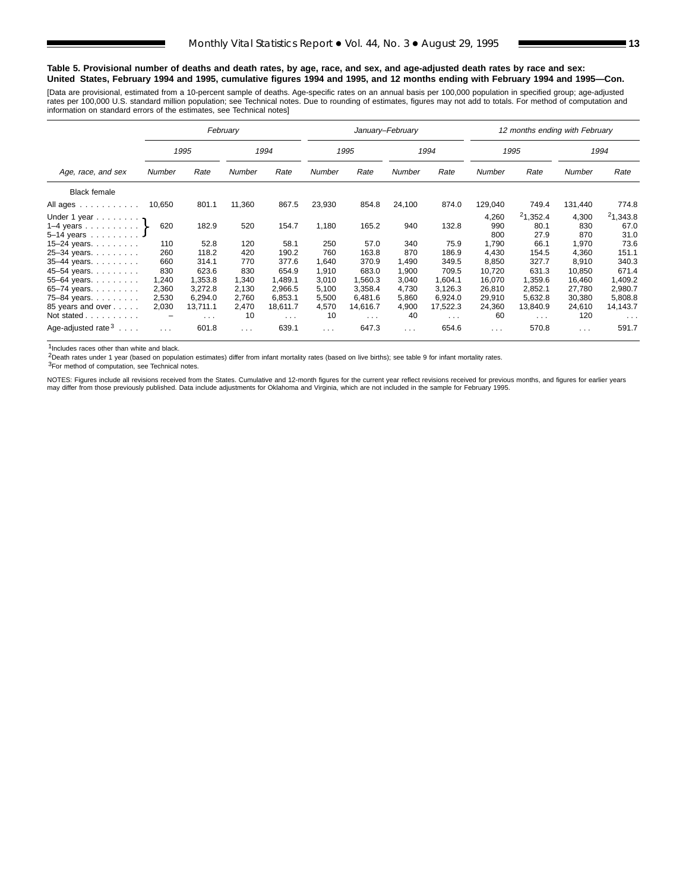#### **Table 5. Provisional number of deaths and death rates, by age, race, and sex, and age-adjusted death rates by race and sex: United States, February 1994 and 1995, cumulative figures 1994 and 1995, and 12 months ending with February 1994 and 1995—Con.**

[Data are provisional, estimated from a 10-percent sample of deaths. Age-specific rates on an annual basis per 100,000 population in specified group; age-adjusted rates per 100,000 U.S. standard million population; see Technical notes. Due to rounding of estimates, figures may not add to totals. For method of computation and<br>information on standard errors of the estimates, see Techn

|                                                                 |                                     |                                                | February                            |                                                |                                         |                                               | January-February                        |                                                |                                              | 12 months ending with February                |                                              |                                               |
|-----------------------------------------------------------------|-------------------------------------|------------------------------------------------|-------------------------------------|------------------------------------------------|-----------------------------------------|-----------------------------------------------|-----------------------------------------|------------------------------------------------|----------------------------------------------|-----------------------------------------------|----------------------------------------------|-----------------------------------------------|
|                                                                 |                                     | 1995                                           |                                     | 1994                                           |                                         | 1995                                          |                                         | 1994                                           |                                              | 1995                                          |                                              | 1994                                          |
| Age, race, and sex                                              | Number                              | Number<br>Rate<br>Rate                         |                                     |                                                | Number                                  | Rate                                          | Number                                  | Rate                                           | Number                                       | Rate                                          | Number                                       | Rate                                          |
| <b>Black female</b>                                             |                                     |                                                |                                     |                                                |                                         |                                               |                                         |                                                |                                              |                                               |                                              |                                               |
| All ages                                                        | 10,650                              | 801.1                                          | 11,360                              | 867.5                                          | 23,930                                  | 854.8                                         | 24,100                                  | 874.0                                          | 129,040                                      | 749.4                                         | 131,440                                      | 774.8                                         |
| Under 1 year $\eta$<br>1–4 years $\}$<br>5-14 years 4           | 620                                 | 182.9                                          | 520                                 | 154.7                                          | 1,180                                   | 165.2                                         | 940                                     | 132.8                                          | 4,260<br>990<br>800                          | 21,352.4<br>80.1<br>27.9                      | 4,300<br>830<br>870                          | 21,343.8<br>67.0<br>31.0                      |
| 15-24 years.                                                    | 110                                 | 52.8                                           | 120                                 | 58.1                                           | 250                                     | 57.0                                          | 340                                     | 75.9                                           | 1,790                                        | 66.1                                          | 1,970                                        | 73.6                                          |
| 25-34 years.<br>35-44 years.<br>45-54 years.<br>55-64 years.    | 260<br>660<br>830<br>1,240<br>2,360 | 118.2<br>314.1<br>623.6<br>1.353.8<br>3,272.8  | 420<br>770<br>830<br>1,340<br>2,130 | 190.2<br>377.6<br>654.9<br>1.489.1<br>2,966.5  | 760<br>1,640<br>1,910<br>3,010<br>5,100 | 163.8<br>370.9<br>683.0<br>1.560.3<br>3,358.4 | 870<br>1.490<br>1,900<br>3,040<br>4,730 | 186.9<br>349.5<br>709.5<br>1.604.1<br>3,126.3  | 4,430<br>8,850<br>10,720<br>16.070<br>26,810 | 154.5<br>327.7<br>631.3<br>1.359.6<br>2,852.1 | 4,360<br>8,910<br>10,850<br>16.460<br>27,780 | 151.1<br>340.3<br>671.4<br>1,409.2<br>2,980.7 |
| 65-74 years.<br>75-84 years.<br>85 years and over<br>Not stated | 2,530<br>2,030<br>-                 | 6,294.0<br>13,711.1<br>$\sim 100$ km s $^{-1}$ | 2,760<br>2,470<br>10                | 6,853.1<br>18.611.7<br>$\sim 100$ km s $^{-1}$ | 5,500<br>4,570<br>10                    | 6.481.6<br>14,616.7<br>$\sim$ $\sim$ $\sim$   | 5,860<br>4,900<br>40                    | 6,924.0<br>17,522.3<br>$\sim 100$ km s $^{-1}$ | 29,910<br>24,360<br>60                       | 5,632.8<br>13,840.9<br>$\sim$ 10 $\sim$       | 30,380<br>24,610<br>120                      | 5,808.8<br>14,143.7<br>$\sim$ $\sim$ $\sim$   |
| Age-adjusted rate $3 \ldots$ .                                  | .                                   | 601.8                                          | $\cdots$                            | 639.1                                          | $\cdots$                                | 647.3                                         | .                                       | 654.6                                          | $\sim$ $\sim$ $\sim$                         | 570.8                                         | $\cdots$                                     | 591.7                                         |

1Includes races other than white and black.

2Death rates under 1 year (based on population estimates) differ from infant mortality rates (based on live births); see table 9 for infant mortality rates.

3For method of computation, see Technical notes.

NOTES: Figures include all revisions received from the States. Cumulative and 12-month figures for the current year reflect revisions received for previous months, and figures for earlier years may differ from those previously published. Data include adjustments for Oklahoma and Virginia, which are not included in the sample for February 1995.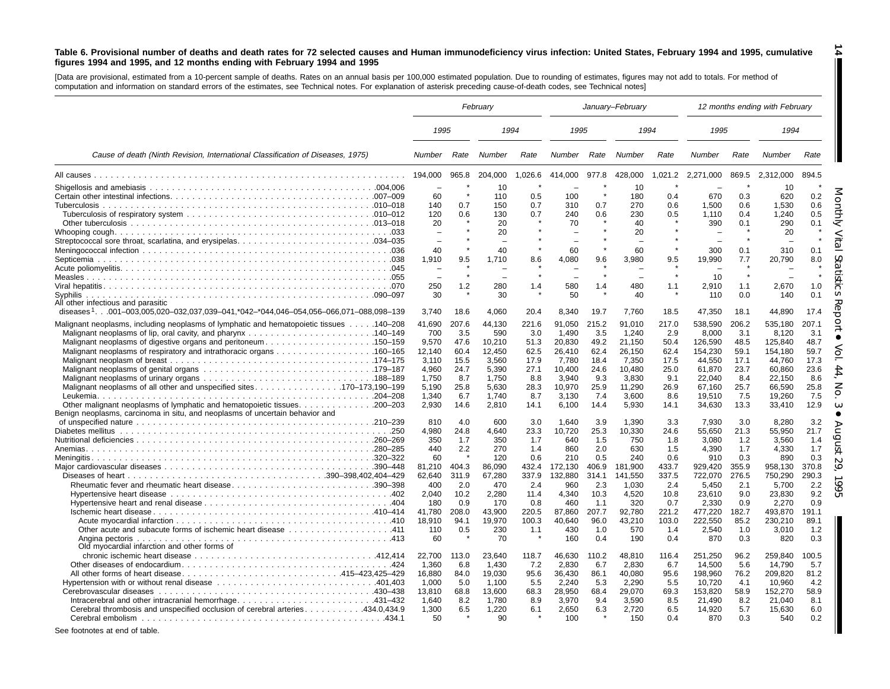#### Table 6. Provisional number of deaths and death rates for 72 selected causes and Human immunodeficiency virus infection: United States, February 1994 and 1995, cumulative figures 1994 and 1995, and 12 months ending with February 1994 and 1995

**14**

[Data are provisional, estimated from a 10-percent sample of deaths. Rates on an annual basis per 100,000 estimated population. Due to rounding of estimates, figures may not add to totals. For method of computation and information on standard errors of the estimates, see Technical notes. For explanation of asterisk preceding cause-of-death codes, see Technical notes]

|                                                                                                 | February |       |                          |         |         | January-February |         |         |                          |           | 12 months ending with February |       |
|-------------------------------------------------------------------------------------------------|----------|-------|--------------------------|---------|---------|------------------|---------|---------|--------------------------|-----------|--------------------------------|-------|
|                                                                                                 | 1995     |       | 1994                     |         | 1995    |                  |         | 1994    | 1995                     |           | 1994                           |       |
| Cause of death (Ninth Revision, International Classification of Diseases, 1975)                 | Number   | Rate  | Number                   | Rate    | Number  | Rate             | Number  | Rate    | Number                   | Rate      | Number                         | Rate  |
|                                                                                                 | 194,000  | 965.8 | 204,000                  | 1,026.6 | 414,000 | 977.8            | 428,000 | 1,021.2 | 2,271,000                | 869.5     | 2,312,000                      | 894.5 |
|                                                                                                 |          |       | 10                       |         |         |                  | 10      |         |                          | $\lambda$ | 10                             |       |
|                                                                                                 | 60       |       | 110                      | 0.5     | 100     |                  | 180     | 0.4     | 670                      | 0.3       | 620                            | 0.2   |
|                                                                                                 | 140      | 0.7   | 150                      | 0.7     | 310     | 0.7              | 270     | 0.6     | 1,500                    | 0.6       | 1,530                          | 0.6   |
|                                                                                                 | 120      | 0.6   | 130                      | 0.7     | 240     | 0.6              | 230     | 0.5     | 1,110                    | 0.4       | 1,240                          | 0.5   |
|                                                                                                 | 20       |       | 20                       |         | 70      |                  | 40      |         | 390                      | 0.1       | 290                            | 0.1   |
|                                                                                                 |          |       | 20                       |         |         |                  | 20      |         | $\overline{\phantom{0}}$ |           | 20                             |       |
|                                                                                                 |          |       |                          |         |         |                  |         |         | L.                       |           |                                |       |
|                                                                                                 | 40       |       | 40                       |         | 60      |                  | 60      |         | 300                      | 0.1       | 310                            | 0.1   |
|                                                                                                 | 1,910    | 9.5   | 1,710                    | 8.6     | 4,080   | 9.6              | 3,980   | 9.5     | 19,990                   | 7.7       | 20,790                         | 8.0   |
|                                                                                                 |          |       | $\overline{\phantom{a}}$ |         |         |                  |         |         |                          |           |                                |       |
|                                                                                                 |          |       |                          | $\star$ |         | $\star$          |         | $\star$ | 10                       | $\star$   |                                |       |
|                                                                                                 | 250      | 1.2   | 280                      | 1.4     | 580     | 1.4              | 480     | 1.1     | 2,910                    | 1.1       | 2,670                          | 1.0   |
|                                                                                                 | 30       |       | 30                       |         | 50      |                  | 40      |         | 110                      | 0.0       | 140                            | 0.1   |
| All other infectious and parasitic                                                              |          |       |                          |         |         |                  |         |         |                          |           |                                |       |
| diseases <sup>1</sup> 001-003,005,020-032,037,039-041,*042-*044,046-054,056-066,071-088,098-139 | 3.740    | 18.6  | 4,060                    | 20.4    | 8,340   | 19.7             | 7,760   | 18.5    | 47,350                   | 18.1      | 44.890                         | 17.4  |
| Malignant neoplasms, including neoplasms of lymphatic and hematopoietic tissues 140–208         | 41,690   | 207.6 | 44,130                   | 221.6   | 91,050  | 215.2            | 91,010  | 217.0   | 538,590                  | 206.2     | 535,180                        | 207.1 |
|                                                                                                 | 700      | 3.5   | 590                      | 3.0     | 1.490   | 3.5              | 1.240   | 2.9     | 8,000                    | 3.1       | 8.120                          | 3.1   |
| Malignant neoplasms of digestive organs and peritoneum150–159                                   | 9,570    | 47.6  | 10,210                   | 51.3    | 20,830  | 49.2             | 21,150  | 50.4    | 126,590                  | 48.5      | 125,840                        | 48.7  |
| Malignant neoplasms of respiratory and intrathoracic organs 160-165                             | 12,140   | 60.4  | 12,450                   | 62.5    | 26,410  | 62.4             | 26,150  | 62.4    | 154,230                  | 59.1      | 154,180                        | 59.7  |
|                                                                                                 | 3.110    | 15.5  | 3.560                    | 17.9    | 7.780   | 18.4             | 7.350   | 17.5    | 44,550                   | 17.1      | 44.760                         | 17.3  |
|                                                                                                 | 4,960    | 24.7  | 5,390                    | 27.1    | 10,400  | 24.6             | 10,480  | 25.0    | 61,870                   | 23.7      | 60,860                         | 23.6  |
|                                                                                                 | 1,750    | 8.7   | 1,750                    | 8.8     | 3,940   | 9.3              | 3,830   | 9.1     | 22,040                   | 8.4       | 22,150                         | 8.6   |
| Malignant neoplasms of all other and unspecified sites. 170-173,190-199                         | 5,190    | 25.8  | 5,630                    | 28.3    | 10,970  | 25.9             | 11,290  | 26.9    | 67,160                   | 25.7      | 66,590                         | 25.8  |
|                                                                                                 | 1,340    | 6.7   | 1,740                    | 8.7     | 3,130   | 7.4              | 3,600   | 8.6     | 19,510                   | 7.5       | 19,260                         | 7.5   |
|                                                                                                 | 2,930    | 14.6  | 2,810                    | 14.1    | 6,100   | 14.4             | 5,930   | 14.1    | 34,630                   | 13.3      | 33,410                         | 12.9  |
| Benign neoplasms, carcinoma in situ, and neoplasms of uncertain behavior and                    |          |       |                          |         |         |                  |         |         |                          |           |                                |       |
|                                                                                                 | 810      | 4.0   | 600                      | 3.0     | 1.640   | 3.9              | 1.390   | 3.3     | 7.930                    | 3.0       | 8,280                          | 3.2   |
|                                                                                                 | 4,980    | 24.8  | 4,640                    | 23.3    | 10,720  | 25.3             | 10,330  | 24.6    | 55,650                   | 21.3      | 55,950                         | 21.7  |
|                                                                                                 | 350      | 1.7   | 350                      | 1.7     | 640     | 1.5              | 750     | 1.8     | 3,080                    | 1.2       | 3,560                          | 1.4   |
|                                                                                                 | 440      | 2.2   | 270                      | 1.4     | 860     | 2.0              | 630     | 1.5     | 4.390                    | 1.7       | 4.330                          | 1.7   |
|                                                                                                 | 60       |       | 120                      | 0.6     | 210     | 0.5              | 240     | 0.6     | 910                      | 0.3       | 890                            | 0.3   |
|                                                                                                 | 81,210   | 404.3 | 86,090                   | 432.4   | 172,130 | 406.9            | 181,900 | 433.7   | 929,420                  | 355.9     | 958,130                        | 370.8 |
|                                                                                                 | 62,640   | 311.9 | 67.280                   | 337.9   | 132,880 | 314.1            | 141.550 | 337.5   | 722,070                  | 276.5     | 750,290                        | 290.3 |
| Rheumatic fever and rheumatic heart disease390–398                                              | 400      | 2.0   | 470                      | 2.4     | 960     | 2.3              | 1.030   | 2.4     | 5.450                    | 2.1       | 5.700                          | 2.2   |
|                                                                                                 | 2,040    | 10.2  | 2,280                    | 11.4    | 4,340   | 10.3             | 4,520   | 10.8    | 23,610                   | 9.0       | 23,830                         | 9.2   |
|                                                                                                 | 180      | 0.9   | 170                      | 0.8     | 460     | 1.1              | 320     | 0.7     | 2,330                    | 0.9       | 2.270                          | 0.9   |
|                                                                                                 | 41.780   | 208.0 | 43.900                   | 220.5   | 87.860  | 207.7            | 92.780  | 221.2   | 477,220                  | 182.7     | 493.870                        | 191.1 |
|                                                                                                 | 18,910   | 94.1  | 19,970                   | 100.3   | 40,640  | 96.0             | 43,210  | 103.0   | 222,550                  | 85.2      | 230,210                        | 89.1  |
|                                                                                                 | 110      | 0.5   | 230                      | 1.1     | 430     | 1.0              | 570     | 1.4     | 2,540                    | 1.0       | 3,010                          | 1.2   |
|                                                                                                 | 60       |       | 70                       |         | 160     | 0.4              | 190     | 0.4     | 870                      | 0.3       | 820                            | 0.3   |
| Old myocardial infarction and other forms of                                                    |          |       |                          |         |         |                  |         |         |                          |           |                                |       |
|                                                                                                 | 22,700   | 113.0 | 23,640                   | 118.7   | 46,630  | 110.2            | 48,810  | 116.4   | 251,250                  | 96.2      | 259,840                        | 100.5 |
|                                                                                                 | 1.360    | 6.8   | 1.430                    | 7.2     | 2,830   | 6.7              | 2,830   | 6.7     | 14,500                   | 5.6       | 14,790                         | 5.7   |
|                                                                                                 | 16,880   | 84.0  | 19,030                   | 95.6    | 36,430  | 86.1             | 40,080  | 95.6    | 198,960                  | 76.2      | 209,820                        | 81.2  |
|                                                                                                 | 1.000    | 5.0   | 1.100                    | 5.5     | 2.240   | 5.3              | 2,290   | 5.5     | 10,720                   | 4.1       | 10.960                         | 4.2   |
|                                                                                                 | 13,810   | 68.8  | 13,600                   | 68.3    | 28,950  | 68.4             | 29,070  | 69.3    | 153,820                  | 58.9      | 152,270                        | 58.9  |
| Intracerebral and other intracranial hemorrhage431-432                                          | 1.640    | 8.2   | 1.780                    | 8.9     | 3,970   | 9.4              | 3.590   | 8.5     | 21.490                   | 8.2       | 21.040                         | 8.1   |
| Cerebral thrombosis and unspecified occlusion of cerebral arteries434.0.434.9                   | 1,300    | 6.5   | 1,220                    | 6.1     | 2,650   | 6.3              | 2,720   | 6.5     | 14,920                   | 5.7       | 15,630                         | 6.0   |
|                                                                                                 | 50       |       | 90                       |         | 100     |                  | 150     |         | 870                      | 0.3       | 540                            | 0.2   |
|                                                                                                 |          |       |                          |         |         |                  |         | 0.4     |                          |           |                                |       |
| See footnotes at end of table.                                                                  |          |       |                          |         |         |                  |         |         |                          |           |                                |       |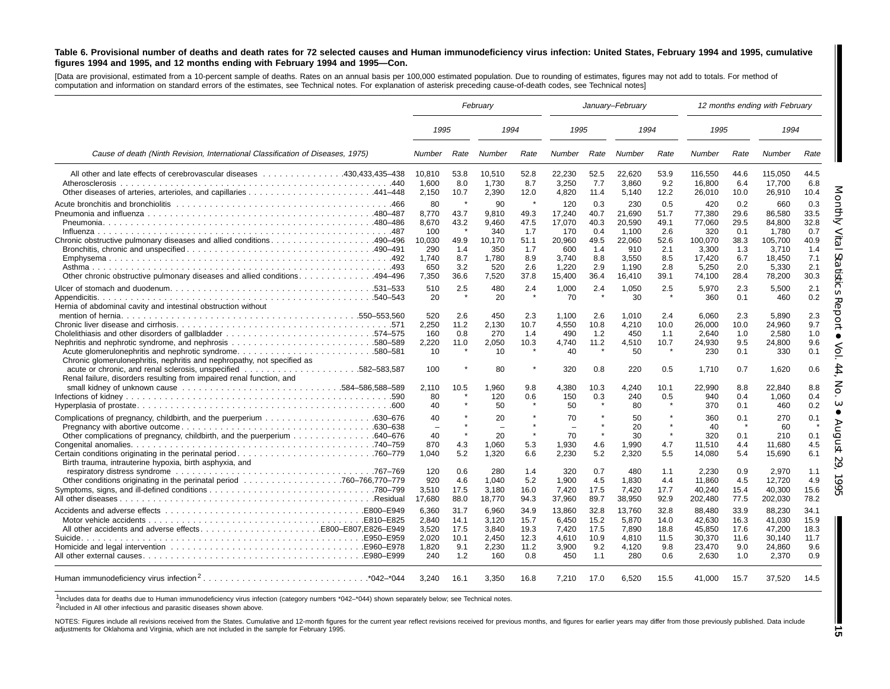#### Table 6. Provisional number of deaths and death rates for 72 selected causes and Human immunodeficiency virus infection: United States, February 1994 and 1995, cumulative figures 1994 and 1995, and 12 months ending with February 1994 and 1995-Con.

[Data are provisional, estimated from a 10-percent sample of deaths. Rates on an annual basis per 100,000 estimated population. Due to rounding of estimates, figures may not add to totals. For method of computation and information on standard errors of the estimates, see Technical notes. For explanation of asterisk preceding cause-of-death codes, see Technical notes]

|                                                                                                                                                                                                                                                               | February                                                              |                                                   |                                                                       |                                                                     |                                                                             | January-February                                                |                                                                               |                                                                 |                                                                                 |                                                                 | 12 months ending with February                                                    |                                                                 |
|---------------------------------------------------------------------------------------------------------------------------------------------------------------------------------------------------------------------------------------------------------------|-----------------------------------------------------------------------|---------------------------------------------------|-----------------------------------------------------------------------|---------------------------------------------------------------------|-----------------------------------------------------------------------------|-----------------------------------------------------------------|-------------------------------------------------------------------------------|-----------------------------------------------------------------|---------------------------------------------------------------------------------|-----------------------------------------------------------------|-----------------------------------------------------------------------------------|-----------------------------------------------------------------|
|                                                                                                                                                                                                                                                               | 1995                                                                  |                                                   | 1994                                                                  |                                                                     | 1995                                                                        |                                                                 | 1994                                                                          |                                                                 | 1995                                                                            |                                                                 | 1994                                                                              |                                                                 |
| Cause of death (Ninth Revision, International Classification of Diseases, 1975)                                                                                                                                                                               | Number                                                                | Rate                                              | Number                                                                | Rate                                                                | Number                                                                      | Rate                                                            | Number                                                                        | Rate                                                            | <b>Number</b>                                                                   | Rate                                                            | Number                                                                            | Rate                                                            |
| All other and late effects of cerebrovascular diseases 430.433.435–438<br>Atherosclerosis                                                                                                                                                                     | 10.810<br>1,600<br>2,150                                              | 53.8<br>8.0<br>10.7                               | 10.510<br>1,730<br>2,390                                              | 52.8<br>8.7<br>12.0                                                 | 22.230<br>3,250<br>4,820                                                    | 52.5<br>7.7<br>11.4                                             | 22.620<br>3,860<br>5,140                                                      | 53.9<br>9.2<br>12.2                                             | 116.550<br>16,800<br>26,010                                                     | 44.6<br>6.4<br>10.0                                             | 115.050<br>17,700<br>26,910                                                       | 44.5<br>6.8<br>10.4                                             |
| Chronic obstructive pulmonary diseases and allied conditions490–496<br>0ther chronic obstructive pulmonary diseases and allied conditions494–496                                                                                                              | 80<br>8,770<br>8,670<br>100<br>10.030<br>290<br>1.740<br>650<br>7,350 | 43.7<br>43.2<br>49.9<br>1.4<br>8.7<br>3.2<br>36.6 | 90<br>9,810<br>9,460<br>340<br>10.170<br>350<br>1.780<br>520<br>7,520 | $\star$<br>49.3<br>47.5<br>1.7<br>51.1<br>1.7<br>8.9<br>2.6<br>37.8 | 120<br>17,240<br>17,070<br>170<br>20.960<br>600<br>3.740<br>1,220<br>15,400 | 0.3<br>40.7<br>40.3<br>0.4<br>49.5<br>1.4<br>8.8<br>2.9<br>36.4 | 230<br>21.690<br>20,590<br>1,100<br>22.060<br>910<br>3.550<br>1,190<br>16.410 | 0.5<br>51.7<br>49.1<br>2.6<br>52.6<br>2.1<br>8.5<br>2.8<br>39.1 | 420<br>77,380<br>77,060<br>320<br>100.070<br>3,300<br>17.420<br>5,250<br>74,100 | 0.2<br>29.6<br>29.5<br>0.1<br>38.3<br>1.3<br>6.7<br>2.0<br>28.4 | 660<br>86.580<br>84,800<br>1,780<br>105.700<br>3,710<br>18.450<br>5,330<br>78,200 | 0.3<br>33.5<br>32.8<br>0.7<br>40.9<br>1.4<br>7.1<br>2.1<br>30.3 |
|                                                                                                                                                                                                                                                               | 510<br>20                                                             | 2.5                                               | 480<br>20                                                             | 2.4                                                                 | 1,000<br>70                                                                 | 2.4                                                             | 1,050<br>30                                                                   | 2.5<br>$\star$                                                  | 5,970<br>360                                                                    | 2.3<br>0.1                                                      | 5,500<br>460                                                                      | 2.1<br>0.2                                                      |
| Hernia of abdominal cavity and intestinal obstruction without<br>Nephritis and nephrotic syndrome, and nephrosis 580–589<br>Acute glomerulonephritis and nephrotic syndrome580–581<br>Chronic glomerulonephritis, nephritis and nephropathy, not specified as | 520<br>2.250<br>160<br>2,220<br>10                                    | 2.6<br>11.2<br>0.8<br>11.0                        | 450<br>2.130<br>270<br>2.050<br>10                                    | 2.3<br>10.7<br>1.4<br>10.3                                          | 1,100<br>4,550<br>490<br>4,740<br>40                                        | 2.6<br>10.8<br>1.2<br>11.2                                      | 1,010<br>4,210<br>450<br>4.510<br>50                                          | 2.4<br>10.0<br>1.1<br>10.7<br>$\star$                           | 6,060<br>26.000<br>2,640<br>24.930<br>230                                       | 2.3<br>10.0<br>1.0<br>9.5<br>0.1                                | 5,890<br>24.960<br>2,580<br>24.800<br>330                                         | 2.3<br>9.7<br>1.0<br>9.6<br>0.1                                 |
| Renal failure, disorders resulting from impaired renal function, and                                                                                                                                                                                          | 100                                                                   |                                                   | 80                                                                    | $\star$                                                             | 320                                                                         | 0.8                                                             | 220                                                                           | 0.5                                                             | 1,710                                                                           | 0.7                                                             | 1,620                                                                             | 0.6                                                             |
|                                                                                                                                                                                                                                                               | 2,110<br>80<br>40                                                     | 10.5                                              | 1,960<br>120<br>50                                                    | 9.8<br>0.6                                                          | 4,380<br>150<br>50                                                          | 10.3<br>0.3                                                     | 4,240<br>240<br>80                                                            | 10.1<br>0.5<br>$\pmb{\ast}$                                     | 22,990<br>940<br>370                                                            | 8.8<br>0.4<br>0.1                                               | 22,840<br>1,060<br>460                                                            | 8.8<br>0.4<br>0.2                                               |
|                                                                                                                                                                                                                                                               | 40<br>÷<br>40<br>870                                                  | 4.3                                               | 20<br>$\equiv$<br>20<br>1.060                                         | $\star$<br>5.3                                                      | 70<br>$\overline{\phantom{0}}$<br>70<br>1,930                               | $\star$<br>$\star$<br>4.6                                       | 50<br>20<br>30<br>1.990                                                       | $\star$<br>$\star$<br>4.7                                       | 360<br>40<br>320<br>11,510                                                      | 0.1<br>0.1<br>4.4                                               | 270<br>60<br>210<br>11,680                                                        | 0.1<br>Ġ<br>0.1<br>4.5                                          |
| Birth trauma, intrauterine hypoxia, birth asphyxia, and                                                                                                                                                                                                       | 1.040<br>120                                                          | 5.2<br>0.6                                        | 1.320<br>280                                                          | 6.6<br>1.4                                                          | 2,230<br>320                                                                | 5.2<br>0.7                                                      | 2.320<br>480                                                                  | 5.5<br>1.1                                                      | 14,080<br>2.230                                                                 | 5.4<br>0.9                                                      | 15,690<br>2.970                                                                   | 6.1<br>1.1                                                      |
|                                                                                                                                                                                                                                                               | 920<br>3,510<br>17,680                                                | 4.6<br>17.5<br>88.0                               | 1.040<br>3,180<br>18,770                                              | 5.2<br>16.0<br>94.3                                                 | 1.900<br>7,420<br>37,960                                                    | 4.5<br>17.5<br>89.7                                             | 1.830<br>7,420<br>38,950                                                      | 4.4<br>17.7<br>92.9                                             | 11.860<br>40,240<br>202,480                                                     | 4.5<br>15.4<br>77.5                                             | 12.720<br>40,300<br>202,030                                                       | 4.9<br>15.6<br>78.2                                             |
|                                                                                                                                                                                                                                                               | 6,360<br>2.840<br>3,520                                               | 31.7<br>14.1<br>17.5                              | 6,960<br>3.120<br>3,840                                               | 34.9<br>15.7<br>19.3                                                | 13,860<br>6.450<br>7,420                                                    | 32.8<br>15.2<br>17.5                                            | 13,760<br>5.870<br>7,890                                                      | 32.8<br>14.0<br>18.8                                            | 88.480<br>42.630<br>45,850                                                      | 33.9<br>16.3<br>17.6                                            | 88.230<br>41.030<br>47,200                                                        | 34.1<br>15.9<br>18.3                                            |
|                                                                                                                                                                                                                                                               | 2.020<br>1,820<br>240                                                 | 10.1<br>9.1<br>1.2                                | 2.450<br>2,230<br>160                                                 | 12.3<br>11.2<br>0.8                                                 | 4.610<br>3,900<br>450                                                       | 10.9<br>9.2<br>1.1                                              | 4.810<br>4,120<br>280                                                         | 11.5<br>9.8<br>0.6                                              | 30.370<br>23,470<br>2,630                                                       | 11.6<br>9.0<br>1.0                                              | 30.140<br>24,860<br>2,370                                                         | 11.7<br>9.6<br>0.9                                              |
| Human immunodeficiency virus infection <sup>2</sup> *042-*044                                                                                                                                                                                                 | 3.240                                                                 | 16.1                                              | 3,350                                                                 | 16.8                                                                | 7,210                                                                       | 17.0                                                            | 6,520                                                                         | 15.5                                                            | 41.000                                                                          | 15.7                                                            | 37,520                                                                            | 14.5                                                            |

1Includes data for deaths due to Human immunodeficiency virus infection (category numbers \*042–\*044) shown separately below; see Technical notes.

<sup>2</sup>Included in All other infectious and parasitic diseases shown above.

NOTES: Figures include all revisions received from the States. Cumulative and 12-month figures for the current year reflect revisions received for previous months, and figures for earlier years may differ from those previo adjustments for Oklahoma and Virginia, which are not included in the sample for February 1995.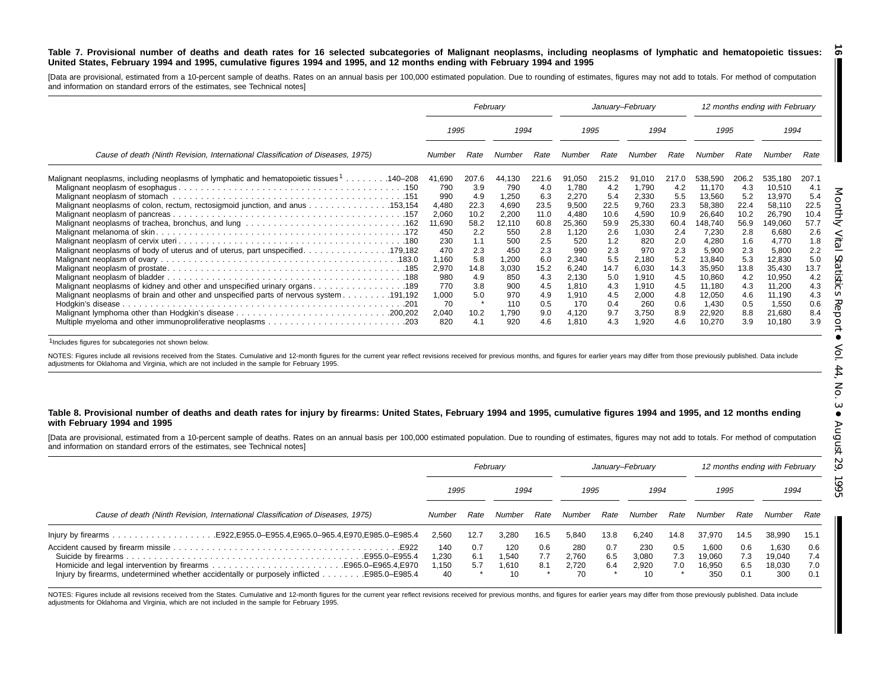#### Table 7. Provisional number of deaths and death rates for 16 selected subcategories of Malignant neoplasms, including neoplasms of lymphatic and hematopoietic tissues: United States, February 1994 and 1995, cumulative figures 1994 and 1995, and 12 months ending with February 1994 and 1995

[Data are provisional, estimated from a 10-percent sample of deaths. Rates on an annual basis per 100,000 estimated population. Due to rounding of estimates, figures may not add to totals. For method of computation and information on standard errors of the estimates, see Technical notes]

|                                                                                                      |                |              | February       |              |                |              | January-February |              |                  |              | 12 months ending with February |              |
|------------------------------------------------------------------------------------------------------|----------------|--------------|----------------|--------------|----------------|--------------|------------------|--------------|------------------|--------------|--------------------------------|--------------|
|                                                                                                      | 1995           |              | 1994           |              | 1995           |              | 1994             |              | 1995             |              | 1994                           |              |
| Cause of death (Ninth Revision, International Classification of Diseases, 1975)                      | Number         | Rate         | Number         | Rate         | Number         | Rate         | Number           | Rate         | Number           | Rate         | Number                         | Rate         |
| Malignant neoplasms, including neoplasms of lymphatic and hematopoietic tissues <sup>1</sup> 140–208 | 41,690         | 207.6        | 44,130         | 221.6        | 91,050         | 215.2        | 91.010           | 217.0        | 538,590          | 206.2        | 535,180                        | 207.1        |
|                                                                                                      | 790            | 3.9          | 790            | 4.0          | 1,780          | 4.2          | 1,790            | 4.2          | 11,170           | 4.3          | 10,510                         | 4.1          |
|                                                                                                      | 990            | 4.9          | 1,250          | 6.3          | 2,270          | 5.4          | 2,330            | 5.5          | 13,560           | 5.2          | 13,970                         | 5.4          |
| Malignant neoplasms of colon, rectum, rectosigmoid junction, and anus 153,154                        | 4,480<br>2,060 | 22.3<br>10.2 | 4,690<br>2,200 | 23.5<br>11.0 | 9,500<br>4,480 | 22.5<br>10.6 | 9,760<br>4,590   | 23.3<br>10.9 | 58,380<br>26,640 | 22.4<br>10.2 | 58,110<br>26,790               | 22.5<br>10.4 |
|                                                                                                      | 11,690         | 58.2         | 12,110         | 60.8         | 25,360         | 59.9         | 25,330           | 60.4         | 148,740          | 56.9         | 149,060                        | 57.7         |
|                                                                                                      | 450            | 2.2          | 550            | 2.8          | 1,120          | 2.6          | 1,030            | 2.4          | 7,230            | 2.8          | 6,680                          | 2.6          |
|                                                                                                      | 230            | 1.1          | 500            | 2.5          | 520            | 1.2          | 820              | 2.0          | 4,280            | 1.6          | 4,770                          | 1.8          |
| Malignant neoplasms of body of uterus and of uterus, part unspecified. 179,182                       | 470            | 2.3          | 450            | 2.3          | 990            | 2.3          | 970              | 2.3          | 5,900            | 2.3          | 5,800                          | 2.2          |
|                                                                                                      | 1,160          | 5.8          | 1,200          | 6.0          | 2,340          | 5.5          | 2,180            | 5.2          | 13,840           | 5.3          | 12,830                         | 5.0          |
|                                                                                                      | 2,970          | 14.8         | 3,030          | 15.2         | 6,240          | 14.7         | 6,030            | 14.3         | 35,950           | 13.8         | 35,430                         | 13.7         |
|                                                                                                      | 980            | 4.9          | 850            | 4.3          | 2,130          | 5.0          | 1,910            | 4.5          | 10,860           | 4.2          | 10,950                         | 4.2          |
| Malignant neoplasms of kidney and other and unspecified urinary organs. 189                          | 770            | 3.8          | 900            | 4.5          | 1,810          | 4.3          | 1,910            | 4.5          | 11,180           | 4.3          | 11,200                         | 4.3          |
| Malignant neoplasms of brain and other and unspecified parts of nervous system 191,192               | 1,000          | 5.0          | 970            | 4.9          | 1,910          | 4.5          | 2,000            | 4.8          | 12,050           | 4.6          | 11,190                         | 4.3          |
|                                                                                                      | 70             |              | 110            | 0.5          | 170            | 0.4          | 260              | 0.6          | 1,430            | 0.5          | 1,550                          | 0.6          |
|                                                                                                      | 2,040<br>820   | 10.2<br>4.1  | 1,790<br>920   | 9.0<br>4.6   | 4,120<br>1.810 | 9.7<br>4.3   | 3,750<br>920.    | 8.9<br>4.6   | 22,920<br>10,270 | 8.8<br>3.9   | 21,680<br>10,180               | 8.4<br>3.9   |

1Includes figures for subcategories not shown below.

NOTES: Figures include all revisions received from the States. Cumulative and 12-month figures for the current year reflect revisions received for previous months, and figures for earlier years may differ from those previo adjustments for Oklahoma and Virginia, which are not included in the sample for February 1995.

#### Table 8. Provisional number of deaths and death rates for injury by firearms: United States, February 1994 and 1995, cumulative figures 1994 and 1995, and 12 months ending **with February 1994 and 1995**

[Data are provisional, estimated from <sup>a</sup> 10-percent sample of deaths. Rates on an annual basis per 100,000 estimated population. Due to rounding of estimates, figures may not add to totals. For method of computation and information on standard errors of the estimates, see Technical notes]

|                                                                                 |                             |                   | February                    |                   | January-February            |                   |                             |                   |                                  |                          | 12 months ending with February   |                          |
|---------------------------------------------------------------------------------|-----------------------------|-------------------|-----------------------------|-------------------|-----------------------------|-------------------|-----------------------------|-------------------|----------------------------------|--------------------------|----------------------------------|--------------------------|
|                                                                                 | 1995                        |                   | 1994                        |                   | 1995                        |                   | 1994                        |                   | 1995                             |                          | 1994                             |                          |
| Cause of death (Ninth Revision, International Classification of Diseases, 1975) | Number                      | Rate              | Number                      | Rate              | Number                      | Rate              | Number                      | Rate              | Number                           | Rate                     | Number                           | Rate                     |
|                                                                                 | 2.560                       | 12.7              | 3.280                       | 16.5              | 5.840                       | 13.8              | 6.240                       | 14.8              | 37.970                           | 14.5                     | 38,990                           | 15.1                     |
| E922.                                                                           | 140<br>1.230<br>1,150<br>40 | 0.7<br>6.1<br>5.7 | 120<br>1.540<br>1.610<br>10 | 0.6<br>7.7<br>8.1 | 280<br>2.760<br>2.720<br>70 | 0.7<br>6.5<br>6.4 | 230<br>3.080<br>2.920<br>10 | 0.5<br>7.3<br>7.0 | 1.600<br>19.060<br>16.950<br>350 | 0.6<br>7.3<br>6.5<br>0.1 | 1.630<br>19.040<br>18,030<br>300 | 0.6<br>7.4<br>7.0<br>0.1 |

NOTES: Figures include all revisions received from the States. Cumulative and 12-month figures for the current year reflect revisions received for previous months, and figures for earlier years may differ from those previo adjustments for Oklahoma and Virginia, which are not included in the sample for February 1995.

<u>ේ</u>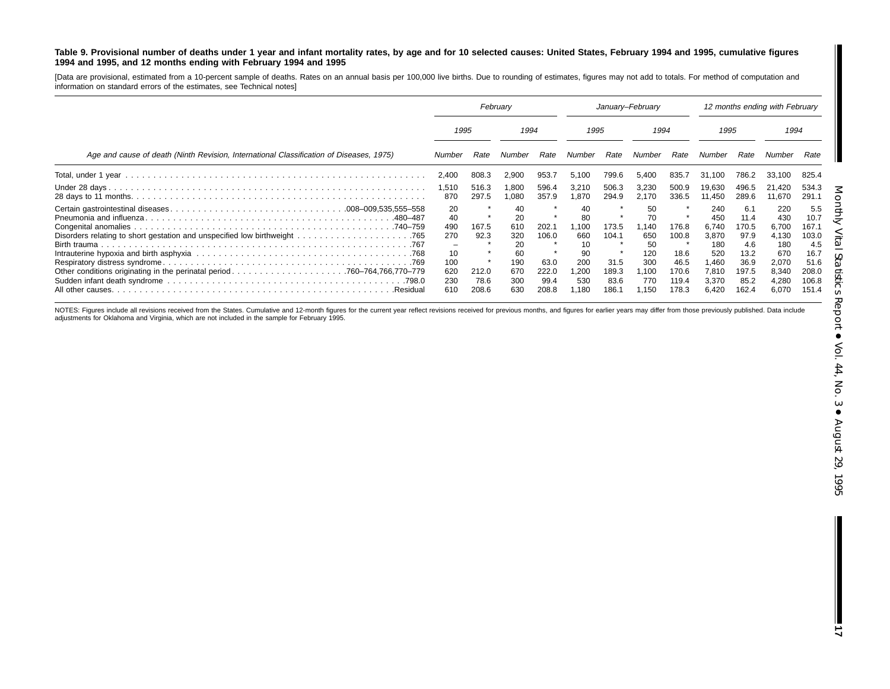#### Table 9. Provisional number of deaths under 1 year and infant mortality rates, by age and for 10 selected causes: United States, February 1994 and 1995, cumulative figures **1994 and 1995, and 12 months ending with February 1994 and 1995**

[Data are provisional, estimated from <sup>a</sup> 10-percent sample of deaths. Rates on an annual basis per 100,000 live births. Due to rounding of estimates, figures may not add to totals. For method of computation and information on standard errors of the estimates, see Technical notes]

|                                                                                         | February                                               |                                |                                                         | January-February                        |                                                            |                                         |                                                              | 12 months ending with February                   |                                                                      |                                                                      |                                                                       |                                                                        |
|-----------------------------------------------------------------------------------------|--------------------------------------------------------|--------------------------------|---------------------------------------------------------|-----------------------------------------|------------------------------------------------------------|-----------------------------------------|--------------------------------------------------------------|--------------------------------------------------|----------------------------------------------------------------------|----------------------------------------------------------------------|-----------------------------------------------------------------------|------------------------------------------------------------------------|
|                                                                                         | 1995                                                   |                                | 1994                                                    |                                         | 1995                                                       |                                         | 1994                                                         |                                                  | 1995                                                                 |                                                                      | 1994                                                                  |                                                                        |
| Age and cause of death (Ninth Revision, International Classification of Diseases, 1975) | Number                                                 | Rate                           | Number                                                  | Rate                                    | Number                                                     | Rate                                    | Number                                                       | Rate                                             | Number                                                               | Rate                                                                 | Number                                                                | Rate                                                                   |
|                                                                                         | 2,400                                                  | 808.3                          | 2,900                                                   | 953.7                                   | 5.100                                                      | 799.6                                   | 5.400                                                        | 835.7                                            | 31.100                                                               | 786.2                                                                | 33,100                                                                | 825.4                                                                  |
|                                                                                         | 1,510<br>870                                           | 516.3<br>297.5                 | 1,800<br>1,080                                          | 596.4<br>357.9                          | 3,210<br>1.870                                             | 506.3<br>294.9                          | 3,230<br>2.170                                               | 500.9<br>336.5                                   | 19,630<br>11.450                                                     | 496.5<br>289.6                                                       | 21,420<br>11,670                                                      | 534.3<br>291.1                                                         |
| Birth trauma                                                                            | 20<br>40<br>490<br>270<br>-<br>10<br>100<br>620<br>230 | 167.5<br>92.3<br>212.0<br>78.6 | 40<br>20<br>610<br>320<br>20<br>60<br>190<br>670<br>300 | 202.1<br>106.0<br>63.0<br>222.0<br>99.4 | 40<br>80<br>1.100<br>660<br>10<br>90<br>200<br>.200<br>530 | 173.5<br>104.1<br>31.5<br>189.3<br>83.6 | 50<br>70<br>∣.140<br>650<br>50<br>120<br>300<br>∣.100<br>770 | 176.8<br>100.8<br>18.6<br>46.5<br>170.6<br>119.4 | 240<br>450<br>6.740<br>3,870<br>180<br>520<br>,460<br>7,810<br>3.370 | 6.1<br>11.4<br>170.5<br>97.9<br>4.6<br>13.2<br>36.9<br>197.5<br>85.2 | 220<br>430<br>6,700<br>4,130<br>180<br>670<br>2,070<br>8,340<br>4,280 | 5.5<br>10.7<br>167.7<br>103.0<br>4.5<br>16.7<br>51.6<br>208.0<br>106.8 |

NOTES: Figures include all revisions received from the States. Cumulative and 12-month figures for the current year reflect revisions received for previous months, and figures for earlier years may differ from those previo adjustments for Oklahoma and Virginia, which are not included in the sample for February 1995.

**17**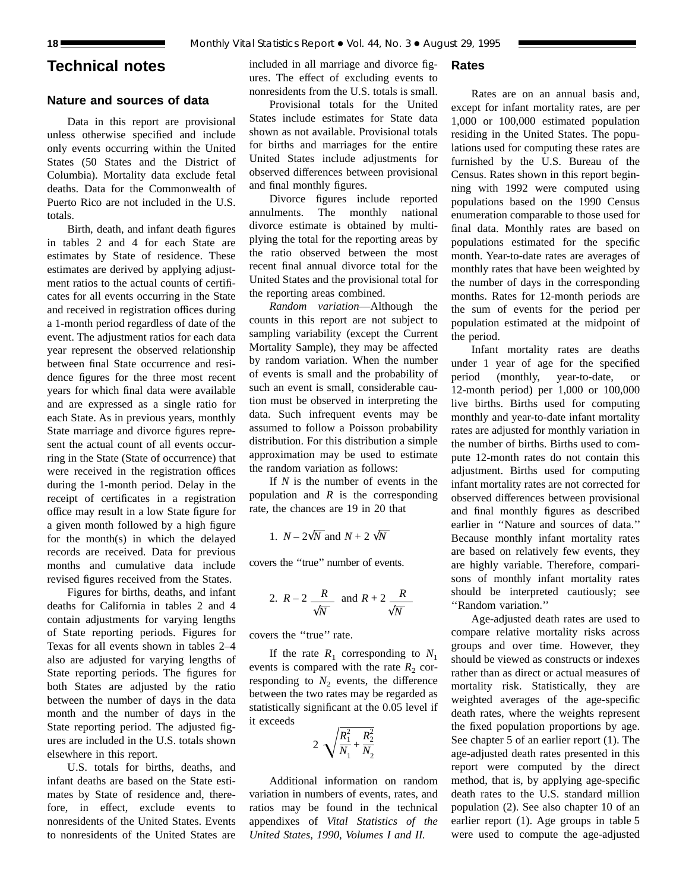# **Technical notes**

# **Nature and sources of data**

Data in this report are provisional unless otherwise specified and include only events occurring within the United States (50 States and the District of Columbia). Mortality data exclude fetal deaths. Data for the Commonwealth of Puerto Rico are not included in the U.S. totals.

Birth, death, and infant death figures in tables 2 and 4 for each State are estimates by State of residence. These estimates are derived by applying adjustment ratios to the actual counts of certificates for all events occurring in the State and received in registration offices during a 1-month period regardless of date of the event. The adjustment ratios for each data year represent the observed relationship between final State occurrence and residence figures for the three most recent years for which final data were available and are expressed as a single ratio for each State. As in previous years, monthly State marriage and divorce figures represent the actual count of all events occurring in the State (State of occurrence) that were received in the registration offices during the 1-month period. Delay in the receipt of certificates in a registration office may result in a low State figure for a given month followed by a high figure for the month(s) in which the delayed records are received. Data for previous months and cumulative data include revised figures received from the States.

Figures for births, deaths, and infant deaths for California in tables 2 and 4 contain adjustments for varying lengths of State reporting periods. Figures for Texas for all events shown in tables 2–4 also are adjusted for varying lengths of State reporting periods. The figures for both States are adjusted by the ratio between the number of days in the data month and the number of days in the State reporting period. The adjusted figures are included in the U.S. totals shown elsewhere in this report.

U.S. totals for births, deaths, and infant deaths are based on the State estimates by State of residence and, therefore, in effect, exclude events to nonresidents of the United States. Events to nonresidents of the United States are included in all marriage and divorce figures. The effect of excluding events to nonresidents from the U.S. totals is small.

# Provisional totals for the United States include estimates for State data shown as not available. Provisional totals for births and marriages for the entire United States include adjustments for observed differences between provisional and final monthly figures.

Divorce figures include reported annulments. The monthly national divorce estimate is obtained by multiplying the total for the reporting areas by the ratio observed between the most recent final annual divorce total for the United States and the provisional total for the reporting areas combined.

*Random variation*—Although the counts in this report are not subject to sampling variability (except the Current Mortality Sample), they may be affected by random variation. When the number of events is small and the probability of such an event is small, considerable caution must be observed in interpreting the data. Such infrequent events may be assumed to follow a Poisson probability distribution. For this distribution a simple approximation may be used to estimate the random variation as follows:

If *N* is the number of events in the population and *R* is the corresponding rate, the chances are 19 in 20 that

1. 
$$
N - 2\sqrt{N}
$$
 and  $N + 2\sqrt{N}$ 

covers the ''true'' number of events.

2. 
$$
R-2
$$
  $\frac{R}{\sqrt{N}}$  and  $R+2$   $\frac{R}{\sqrt{N}}$ 

covers the ''true'' rate.

If the rate  $R_1$  corresponding to  $N_1$ events is compared with the rate  $R_2$  corresponding to  $N_2$  events, the difference between the two rates may be regarded as statistically significant at the 0.05 level if it exceeds

$$
2\sqrt{\frac{R_1^2}{N_1} + \frac{R_2^2}{N_2}}
$$

Additional information on random variation in numbers of events, rates, and ratios may be found in the technical appendixes of *Vital Statistics of the United States, 1990, Volumes I and II.*

**Rates**

Rates are on an annual basis and, except for infant mortality rates, are per 1,000 or 100,000 estimated population residing in the United States. The populations used for computing these rates are furnished by the U.S. Bureau of the Census. Rates shown in this report beginning with 1992 were computed using populations based on the 1990 Census enumeration comparable to those used for final data. Monthly rates are based on populations estimated for the specific month. Year-to-date rates are averages of monthly rates that have been weighted by the number of days in the corresponding months. Rates for 12-month periods are the sum of events for the period per population estimated at the midpoint of the period.

Infant mortality rates are deaths under 1 year of age for the specified period (monthly, year-to-date, or 12-month period) per 1,000 or 100,000 live births. Births used for computing monthly and year-to-date infant mortality rates are adjusted for monthly variation in the number of births. Births used to compute 12-month rates do not contain this adjustment. Births used for computing infant mortality rates are not corrected for observed differences between provisional and final monthly figures as described earlier in ''Nature and sources of data.'' Because monthly infant mortality rates are based on relatively few events, they are highly variable. Therefore, comparisons of monthly infant mortality rates should be interpreted cautiously; see ''Random variation.''

Age-adjusted death rates are used to compare relative mortality risks across groups and over time. However, they should be viewed as constructs or indexes rather than as direct or actual measures of mortality risk. Statistically, they are weighted averages of the age-specific death rates, where the weights represent the fixed population proportions by age. See chapter 5 of an earlier report (1). The age-adjusted death rates presented in this report were computed by the direct method, that is, by applying age-specific death rates to the U.S. standard million population (2). See also chapter 10 of an earlier report (1). Age groups in table 5 were used to compute the age-adjusted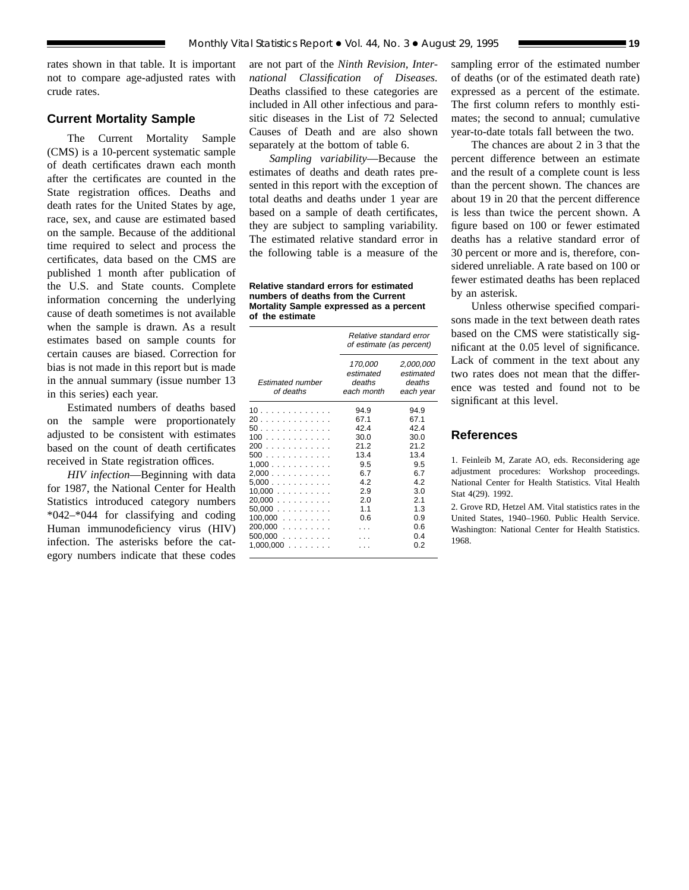rates shown in that table. It is important not to compare age-adjusted rates with crude rates.

## **Current Mortality Sample**

The Current Mortality Sample (CMS) is a 10-percent systematic sample of death certificates drawn each month after the certificates are counted in the State registration offices. Deaths and death rates for the United States by age, race, sex, and cause are estimated based on the sample. Because of the additional time required to select and process the certificates, data based on the CMS are published 1 month after publication of the U.S. and State counts. Complete information concerning the underlying cause of death sometimes is not available when the sample is drawn. As a result estimates based on sample counts for certain causes are biased. Correction for bias is not made in this report but is made in the annual summary (issue number 13 in this series) each year.

Estimated numbers of deaths based on the sample were proportionately adjusted to be consistent with estimates based on the count of death certificates received in State registration offices.

*HIV infection*—Beginning with data for 1987, the National Center for Health Statistics introduced category numbers \*042–\*044 for classifying and coding Human immunodeficiency virus (HIV) infection. The asterisks before the category numbers indicate that these codes

are not part of the *Ninth Revision, International Classification of Diseases.* Deaths classified to these categories are included in All other infectious and parasitic diseases in the List of 72 Selected Causes of Death and are also shown separately at the bottom of table 6.

*Sampling variability*—Because the estimates of deaths and death rates presented in this report with the exception of total deaths and deaths under 1 year are based on a sample of death certificates, they are subject to sampling variability. The estimated relative standard error in the following table is a measure of the

**Relative standard errors for estimated numbers of deaths from the Current Mortality Sample expressed as a percent of the estimate**

|                                      | Relative standard error<br>of estimate (as percent) |                                               |  |  |  |  |  |  |
|--------------------------------------|-----------------------------------------------------|-----------------------------------------------|--|--|--|--|--|--|
| <b>Estimated number</b><br>of deaths | 170,000<br>estimated<br>deaths<br>each month        | 2,000,000<br>estimated<br>deaths<br>each year |  |  |  |  |  |  |
|                                      | 94.9                                                | 94.9                                          |  |  |  |  |  |  |
| 20                                   | 67.1                                                | 67.1                                          |  |  |  |  |  |  |
| 50.                                  | 42.4                                                | 42.4                                          |  |  |  |  |  |  |
| 100                                  | 30.0                                                | 30.0                                          |  |  |  |  |  |  |
| 200                                  | 212                                                 | 212                                           |  |  |  |  |  |  |
| 500                                  | 13.4                                                | 13.4                                          |  |  |  |  |  |  |
| 1.000                                | 9.5                                                 | 9.5                                           |  |  |  |  |  |  |
| 2,000                                | 6.7                                                 | 67                                            |  |  |  |  |  |  |
| 5.000                                | 42                                                  | 42                                            |  |  |  |  |  |  |
| 10,000                               | 2.9                                                 | 3.0                                           |  |  |  |  |  |  |
| 20,000                               | 2.0                                                 | 2.1                                           |  |  |  |  |  |  |
| 50.000                               | 1.1                                                 | 1.3                                           |  |  |  |  |  |  |
| $100,000$                            | 0.6                                                 | 0.9                                           |  |  |  |  |  |  |
| $200,000$                            |                                                     | 0.6                                           |  |  |  |  |  |  |
| $500,000$                            |                                                     | 04                                            |  |  |  |  |  |  |
| $1,000,000$                          |                                                     | 0 2                                           |  |  |  |  |  |  |
|                                      |                                                     |                                               |  |  |  |  |  |  |

sampling error of the estimated number of deaths (or of the estimated death rate) expressed as a percent of the estimate. The first column refers to monthly estimates; the second to annual; cumulative year-to-date totals fall between the two.

The chances are about 2 in 3 that the percent difference between an estimate and the result of a complete count is less than the percent shown. The chances are about 19 in 20 that the percent difference is less than twice the percent shown. A figure based on 100 or fewer estimated deaths has a relative standard error of 30 percent or more and is, therefore, considered unreliable. A rate based on 100 or fewer estimated deaths has been replaced by an asterisk.

Unless otherwise specified comparisons made in the text between death rates based on the CMS were statistically significant at the 0.05 level of significance. Lack of comment in the text about any two rates does not mean that the difference was tested and found not to be significant at this level.

## **References**

1. Feinleib M, Zarate AO, eds. Reconsidering age adjustment procedures: Workshop proceedings. National Center for Health Statistics. Vital Health Stat 4(29). 1992.

2. Grove RD, Hetzel AM. Vital statistics rates in the United States, 1940–1960. Public Health Service. Washington: National Center for Health Statistics. 1968.